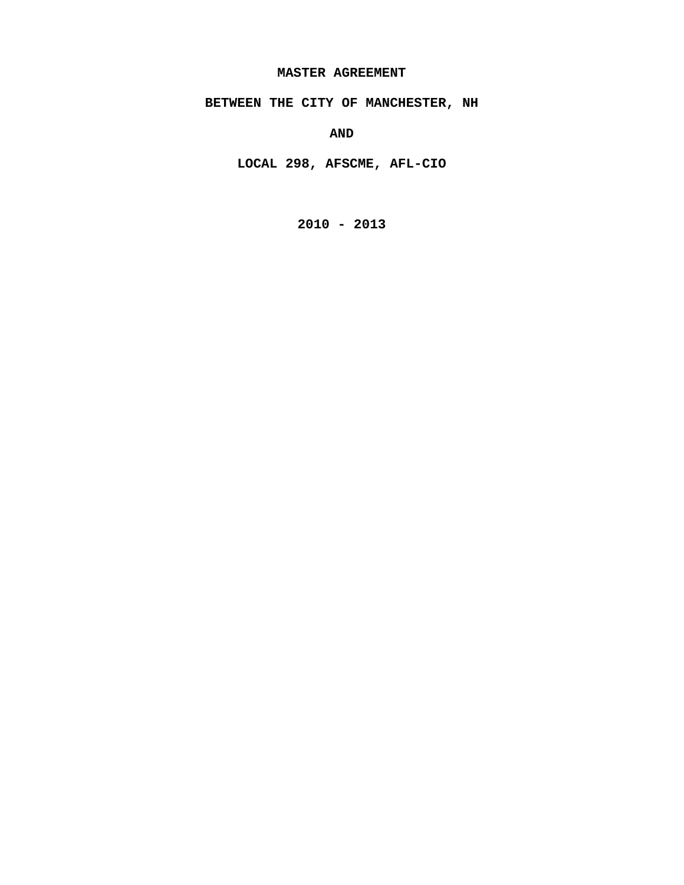#### **MASTER AGREEMENT**

**BETWEEN THE CITY OF MANCHESTER, NH** 

**AND** 

**LOCAL 298, AFSCME, AFL-CIO** 

**2010 - 2013**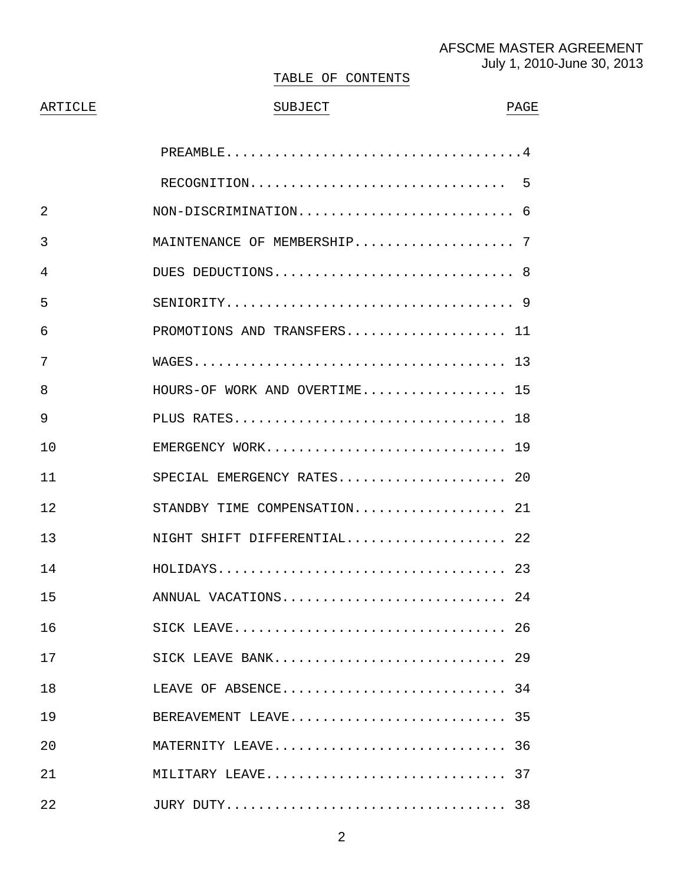# AFSCME MASTER AGREEMENT July 1, 2010-June 30, 2013

#### TABLE OF CONTENTS

# ARTICLE BUBJECT PAGE

| 2              |                               |
|----------------|-------------------------------|
| 3              | MAINTENANCE OF MEMBERSHIP 7   |
| 4              | DUES DEDUCTIONS 8             |
| 5              |                               |
| 6              | PROMOTIONS AND TRANSFERS 11   |
| 7              |                               |
| 8              | HOURS-OF WORK AND OVERTIME 15 |
| 9              |                               |
| 1 <sub>0</sub> | EMERGENCY WORK 19             |
| 11             | SPECIAL EMERGENCY RATES 20    |
| 12             | STANDBY TIME COMPENSATION 21  |
| 13             | NIGHT SHIFT DIFFERENTIAL 22   |
| 14             |                               |
| 15             | ANNUAL VACATIONS 24           |
| 16             |                               |
| 17             | SICK LEAVE BANK 29            |
| 18             | LEAVE OF ABSENCE 34           |
| 19             | BEREAVEMENT LEAVE 35          |
| 20             | MATERNITY LEAVE 36            |
| 21             | MILITARY LEAVE 37             |
| 22             |                               |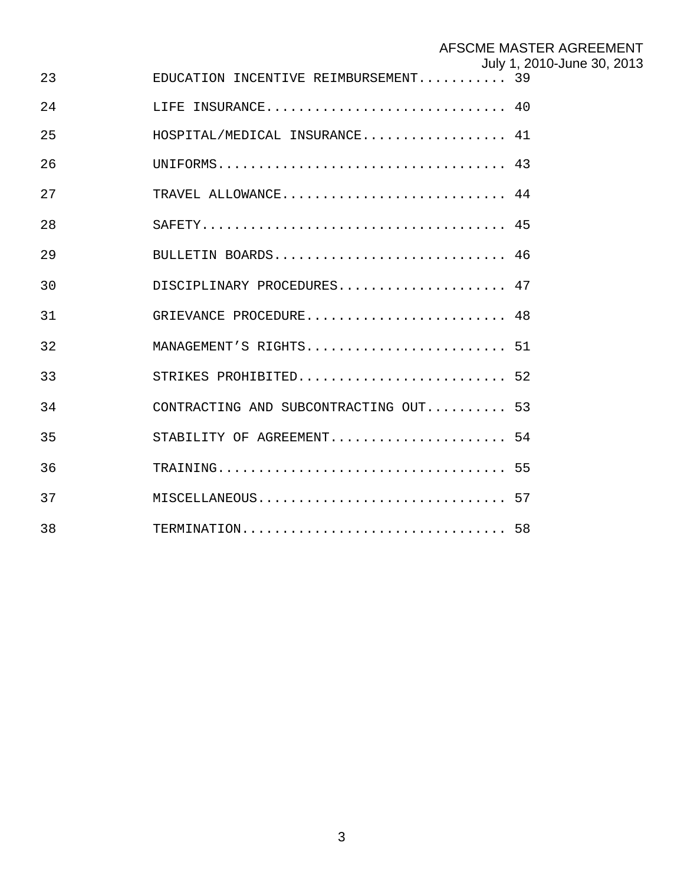# AFSCME MASTER AGREEMENT

|  | July 1, 2010-June 30, 2013 |  |  |
|--|----------------------------|--|--|
|--|----------------------------|--|--|

| 23 | EDUCATION INCENTIVE REIMBURSEMENT 39  |  |
|----|---------------------------------------|--|
| 24 | LIFE INSURANCE 40                     |  |
| 25 | HOSPITAL/MEDICAL INSURANCE 41         |  |
| 26 |                                       |  |
| 27 | TRAVEL ALLOWANCE 44                   |  |
| 28 |                                       |  |
| 29 | BULLETIN BOARDS 46                    |  |
| 30 | DISCIPLINARY PROCEDURES 47            |  |
| 31 | GRIEVANCE PROCEDURE 48                |  |
| 32 | MANAGEMENT'S RIGHTS 51                |  |
| 33 | STRIKES PROHIBITED 52                 |  |
| 34 | CONTRACTING AND SUBCONTRACTING OUT 53 |  |
| 35 | STABILITY OF AGREEMENT 54             |  |
| 36 |                                       |  |
| 37 | MISCELLANEOUS 57                      |  |
| 38 | TERMINATION 58                        |  |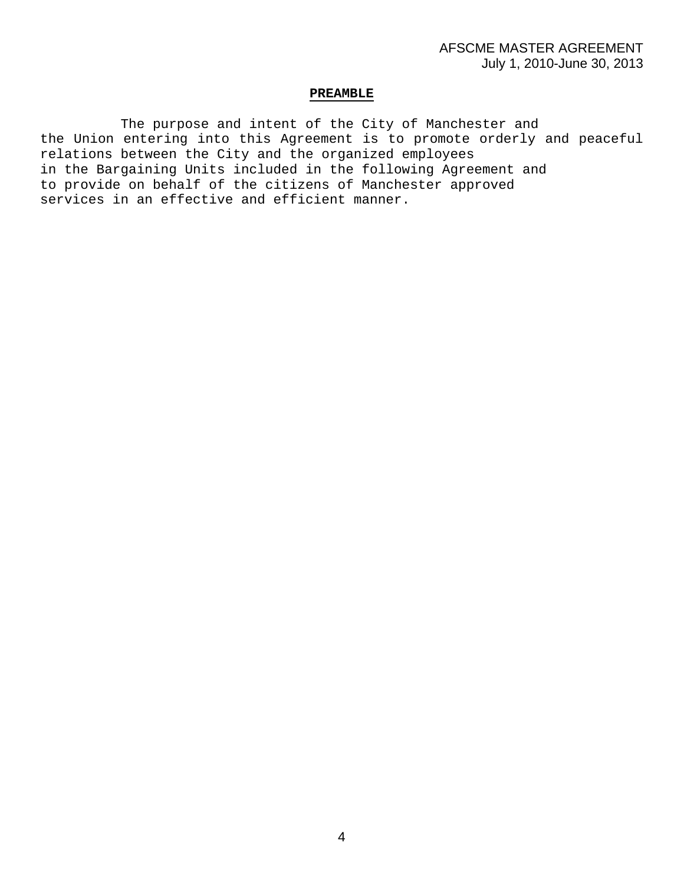#### **PREAMBLE**

 The purpose and intent of the City of Manchester and the Union entering into this Agreement is to promote orderly and peaceful relations between the City and the organized employees in the Bargaining Units included in the following Agreement and to provide on behalf of the citizens of Manchester approved services in an effective and efficient manner.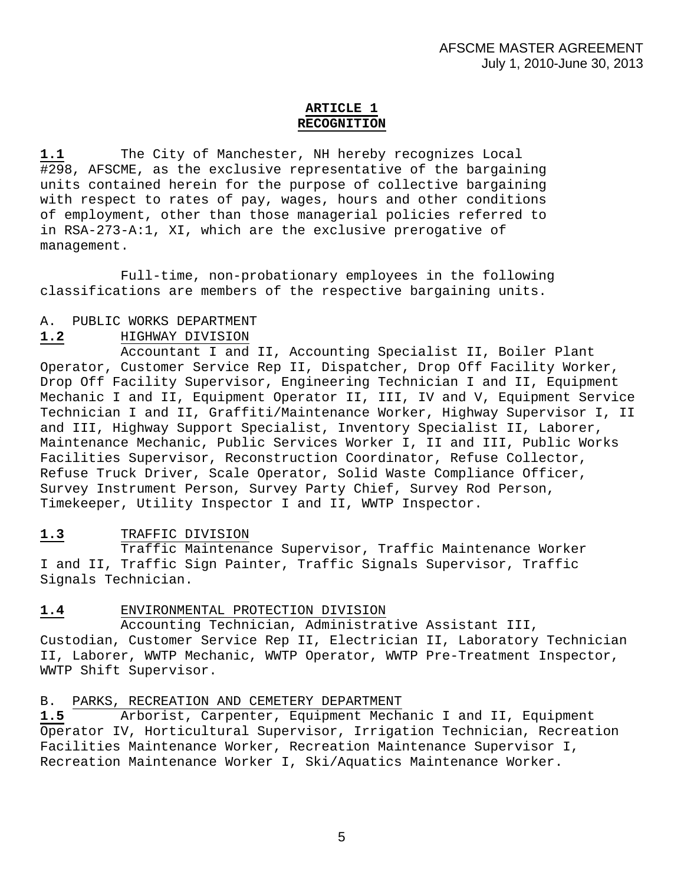# **ARTICLE 1 RECOGNITION**

**1.1** The City of Manchester, NH hereby recognizes Local #298, AFSCME, as the exclusive representative of the bargaining units contained herein for the purpose of collective bargaining with respect to rates of pay, wages, hours and other conditions of employment, other than those managerial policies referred to in RSA-273-A:1, XI, which are the exclusive prerogative of management.

 Full-time, non-probationary employees in the following classifications are members of the respective bargaining units.

#### A. PUBLIC WORKS DEPARTMENT

#### **1.2** HIGHWAY DIVISION

 Accountant I and II, Accounting Specialist II, Boiler Plant Operator, Customer Service Rep II, Dispatcher, Drop Off Facility Worker, Drop Off Facility Supervisor, Engineering Technician I and II, Equipment Mechanic I and II, Equipment Operator II, III, IV and V, Equipment Service Technician I and II, Graffiti/Maintenance Worker, Highway Supervisor I, II and III, Highway Support Specialist, Inventory Specialist II, Laborer, Maintenance Mechanic, Public Services Worker I, II and III, Public Works Facilities Supervisor, Reconstruction Coordinator, Refuse Collector, Refuse Truck Driver, Scale Operator, Solid Waste Compliance Officer, Survey Instrument Person, Survey Party Chief, Survey Rod Person, Timekeeper, Utility Inspector I and II, WWTP Inspector.

# **1.3** TRAFFIC DIVISION

Traffic Maintenance Supervisor, Traffic Maintenance Worker I and II, Traffic Sign Painter, Traffic Signals Supervisor, Traffic Signals Technician.

# **1.4** ENVIRONMENTAL PROTECTION DIVISION

Accounting Technician, Administrative Assistant III, Custodian, Customer Service Rep II, Electrician II, Laboratory Technician II, Laborer, WWTP Mechanic, WWTP Operator, WWTP Pre-Treatment Inspector, WWTP Shift Supervisor.

B. PARKS, RECREATION AND CEMETERY DEPARTMENT

**1.5** Arborist, Carpenter, Equipment Mechanic I and II, Equipment Operator IV, Horticultural Supervisor, Irrigation Technician, Recreation Facilities Maintenance Worker, Recreation Maintenance Supervisor I, Recreation Maintenance Worker I, Ski/Aquatics Maintenance Worker.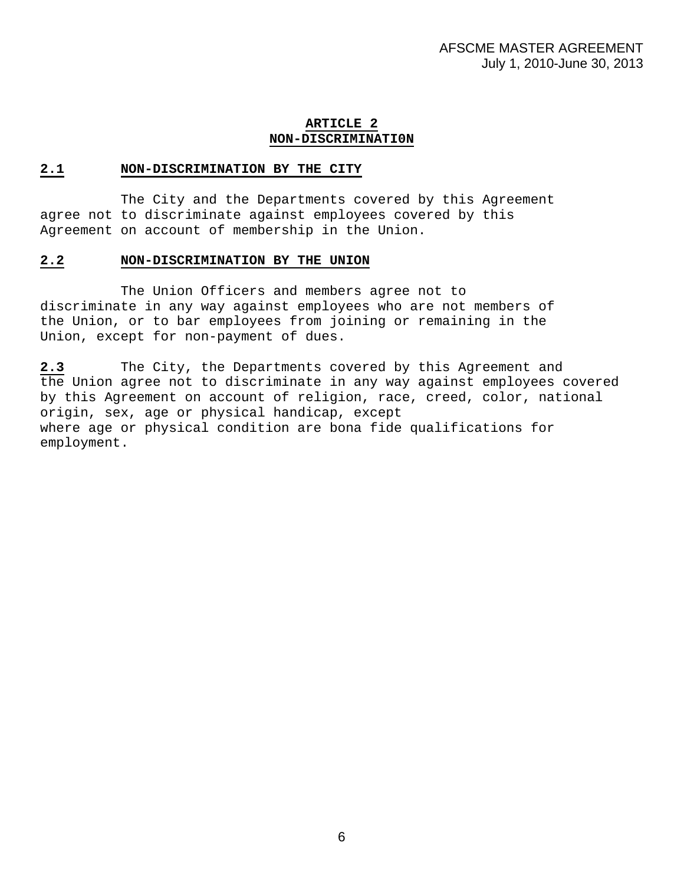# **ARTICLE 2 NON-DISCRIMINATI0N**

#### **2.1 NON-DISCRIMINATION BY THE CITY**

 The City and the Departments covered by this Agreement agree not to discriminate against employees covered by this Agreement on account of membership in the Union.

#### **2.2 NON-DISCRIMINATION BY THE UNION**

 The Union Officers and members agree not to discriminate in any way against employees who are not members of the Union, or to bar employees from joining or remaining in the Union, except for non-payment of dues.

**2.3** The City, the Departments covered by this Agreement and the Union agree not to discriminate in any way against employees covered by this Agreement on account of religion, race, creed, color, national origin, sex, age or physical handicap, except where age or physical condition are bona fide qualifications for employment.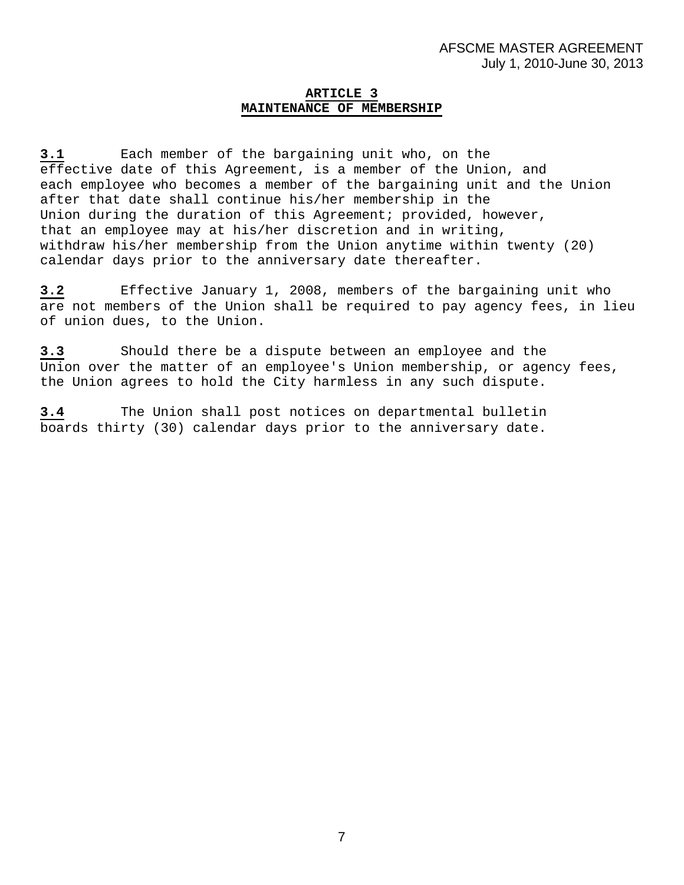# **ARTICLE 3 MAINTENANCE OF MEMBERSHIP**

**3.1** Each member of the bargaining unit who, on the effective date of this Agreement, is a member of the Union, and each employee who becomes a member of the bargaining unit and the Union after that date shall continue his/her membership in the Union during the duration of this Agreement; provided, however, that an employee may at his/her discretion and in writing, withdraw his/her membership from the Union anytime within twenty (20) calendar days prior to the anniversary date thereafter.

**3.2** Effective January 1, 2008, members of the bargaining unit who are not members of the Union shall be required to pay agency fees, in lieu of union dues, to the Union.

**3.3** Should there be a dispute between an employee and the Union over the matter of an employee's Union membership, or agency fees, the Union agrees to hold the City harmless in any such dispute.

**3.4** The Union shall post notices on departmental bulletin boards thirty (30) calendar days prior to the anniversary date.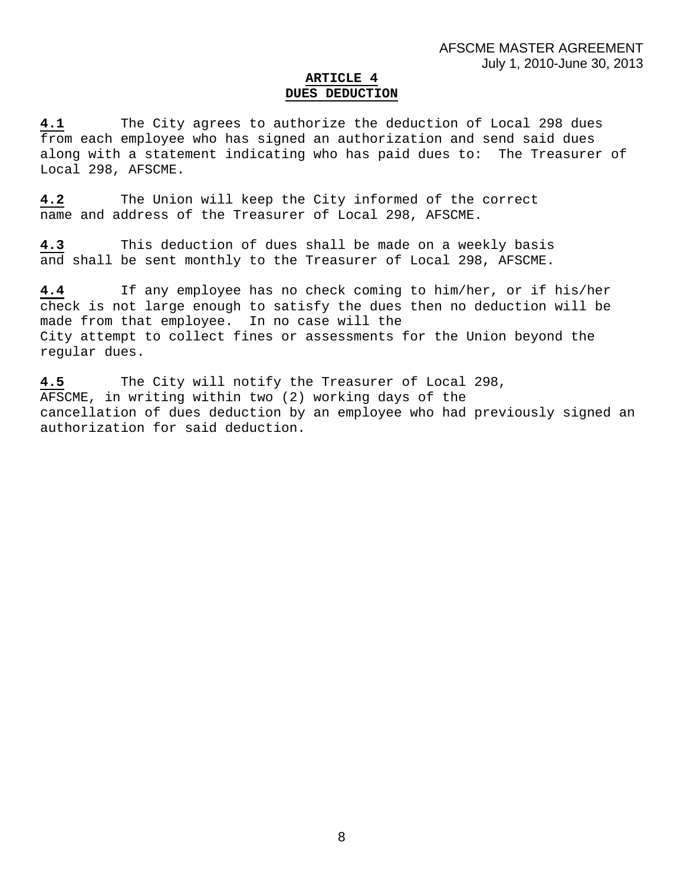# **ARTICLE 4 DUES DEDUCTION**

**4.1** The City agrees to authorize the deduction of Local 298 dues from each employee who has signed an authorization and send said dues along with a statement indicating who has paid dues to: The Treasurer of Local 298, AFSCME.

**4.2** The Union will keep the City informed of the correct name and address of the Treasurer of Local 298, AFSCME.

**4.3** This deduction of dues shall be made on a weekly basis and shall be sent monthly to the Treasurer of Local 298, AFSCME.

**4.4** If any employee has no check coming to him/her, or if his/her check is not large enough to satisfy the dues then no deduction will be made from that employee. In no case will the City attempt to collect fines or assessments for the Union beyond the regular dues.

**4.5** The City will notify the Treasurer of Local 298, AFSCME, in writing within two (2) working days of the cancellation of dues deduction by an employee who had previously signed an authorization for said deduction.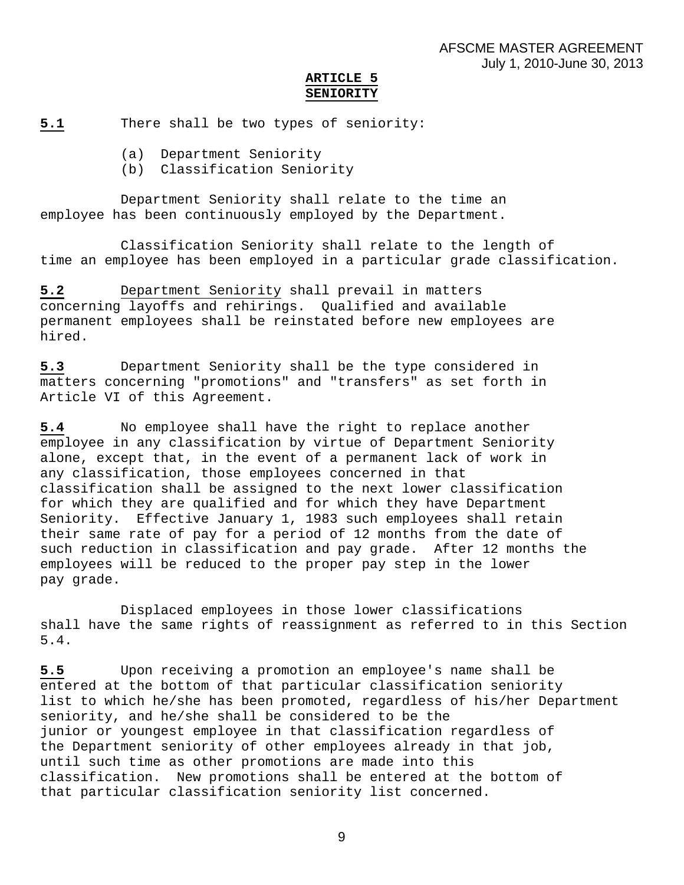# **ARTICLE 5 SENIORITY**

**5.1** There shall be two types of seniority:

- (a) Department Seniority
- (b) Classification Seniority

 Department Seniority shall relate to the time an employee has been continuously employed by the Department.

 Classification Seniority shall relate to the length of time an employee has been employed in a particular grade classification.

**5.2** Department Seniority shall prevail in matters concerning layoffs and rehirings. Qualified and available permanent employees shall be reinstated before new employees are hired.

**5.3** Department Seniority shall be the type considered in matters concerning "promotions" and "transfers" as set forth in Article VI of this Agreement.

**5.4** No employee shall have the right to replace another employee in any classification by virtue of Department Seniority alone, except that, in the event of a permanent lack of work in any classification, those employees concerned in that classification shall be assigned to the next lower classification for which they are qualified and for which they have Department Seniority. Effective January 1, 1983 such employees shall retain their same rate of pay for a period of 12 months from the date of such reduction in classification and pay grade. After 12 months the employees will be reduced to the proper pay step in the lower pay grade.

 Displaced employees in those lower classifications shall have the same rights of reassignment as referred to in this Section 5.4.

**5.5** Upon receiving a promotion an employee's name shall be entered at the bottom of that particular classification seniority list to which he/she has been promoted, regardless of his/her Department seniority, and he/she shall be considered to be the junior or youngest employee in that classification regardless of the Department seniority of other employees already in that job, until such time as other promotions are made into this classification. New promotions shall be entered at the bottom of that particular classification seniority list concerned.

9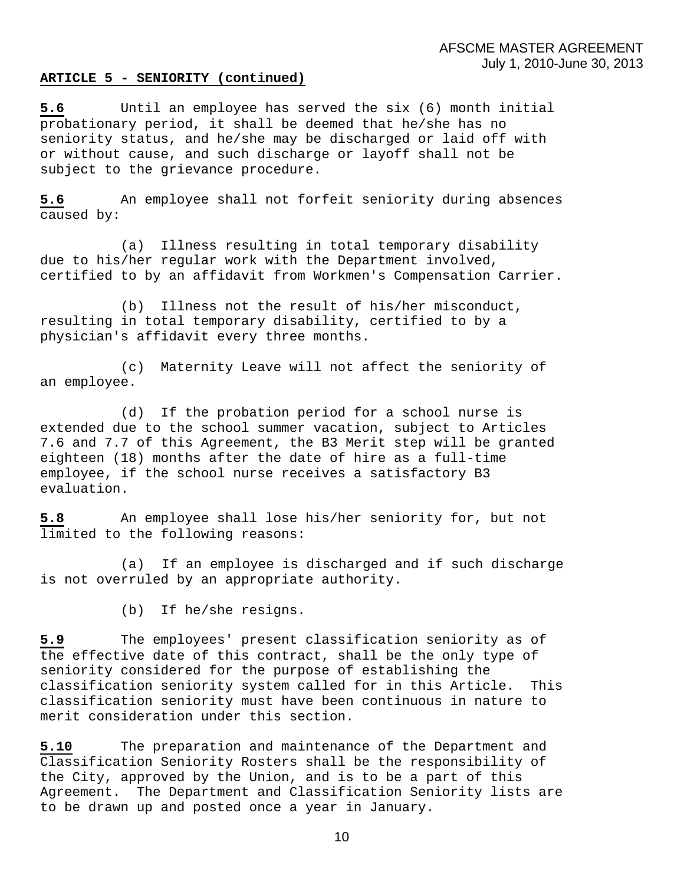#### **ARTICLE 5 - SENIORITY (continued)**

**5.6** Until an employee has served the six (6) month initial probationary period, it shall be deemed that he/she has no seniority status, and he/she may be discharged or laid off with or without cause, and such discharge or layoff shall not be subject to the grievance procedure.

**5.6** An employee shall not forfeit seniority during absences caused by:

 (a) Illness resulting in total temporary disability due to his/her regular work with the Department involved, certified to by an affidavit from Workmen's Compensation Carrier.

 (b) Illness not the result of his/her misconduct, resulting in total temporary disability, certified to by a physician's affidavit every three months.

 (c) Maternity Leave will not affect the seniority of an employee.

 (d) If the probation period for a school nurse is extended due to the school summer vacation, subject to Articles 7.6 and 7.7 of this Agreement, the B3 Merit step will be granted eighteen (18) months after the date of hire as a full-time employee, if the school nurse receives a satisfactory B3 evaluation.

**5.8** An employee shall lose his/her seniority for, but not limited to the following reasons:

(a) If an employee is discharged and if such discharge is not overruled by an appropriate authority.

(b) If he/she resigns.

**5.9** The employees' present classification seniority as of the effective date of this contract, shall be the only type of seniority considered for the purpose of establishing the classification seniority system called for in this Article. This classification seniority must have been continuous in nature to merit consideration under this section.

**5.10** The preparation and maintenance of the Department and Classification Seniority Rosters shall be the responsibility of the City, approved by the Union, and is to be a part of this Agreement. The Department and Classification Seniority lists are to be drawn up and posted once a year in January.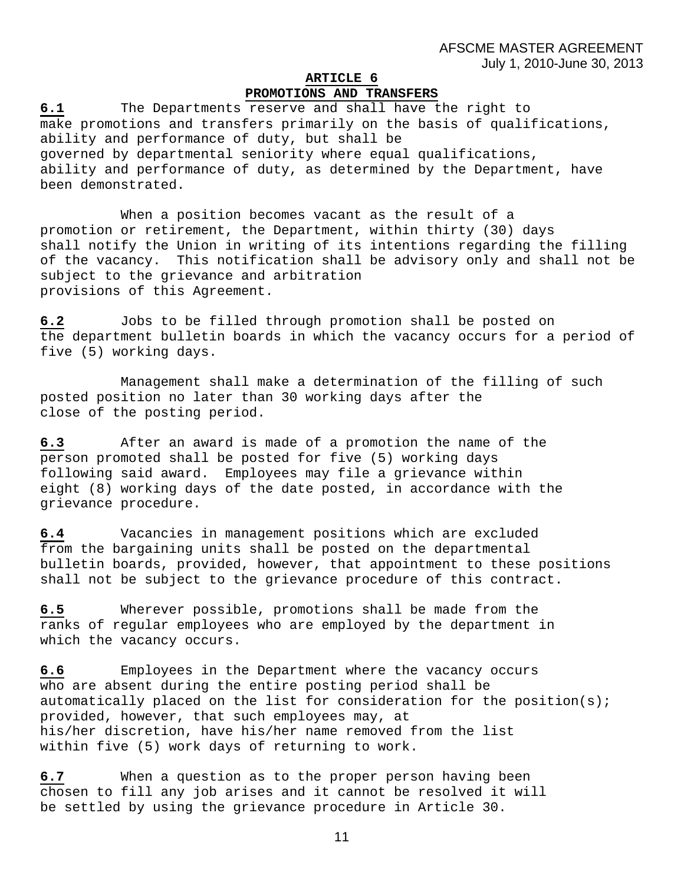# **ARTICLE 6**

# **PROMOTIONS AND TRANSFERS**

**6.1** The Departments reserve and shall have the right to make promotions and transfers primarily on the basis of qualifications, ability and performance of duty, but shall be governed by departmental seniority where equal qualifications, ability and performance of duty, as determined by the Department, have been demonstrated.

 When a position becomes vacant as the result of a promotion or retirement, the Department, within thirty (30) days shall notify the Union in writing of its intentions regarding the filling of the vacancy. This notification shall be advisory only and shall not be subject to the grievance and arbitration provisions of this Agreement.

**6.2** Jobs to be filled through promotion shall be posted on the department bulletin boards in which the vacancy occurs for a period of five (5) working days.

 Management shall make a determination of the filling of such posted position no later than 30 working days after the close of the posting period.

**6.3** After an award is made of a promotion the name of the person promoted shall be posted for five (5) working days following said award. Employees may file a grievance within eight (8) working days of the date posted, in accordance with the grievance procedure.

**6.4** Vacancies in management positions which are excluded from the bargaining units shall be posted on the departmental bulletin boards, provided, however, that appointment to these positions shall not be subject to the grievance procedure of this contract.

**6.5** Wherever possible, promotions shall be made from the ranks of regular employees who are employed by the department in which the vacancy occurs.

**6.6** Employees in the Department where the vacancy occurs who are absent during the entire posting period shall be automatically placed on the list for consideration for the position(s); provided, however, that such employees may, at his/her discretion, have his/her name removed from the list within five (5) work days of returning to work.

**6.7** When a question as to the proper person having been chosen to fill any job arises and it cannot be resolved it will be settled by using the grievance procedure in Article 30.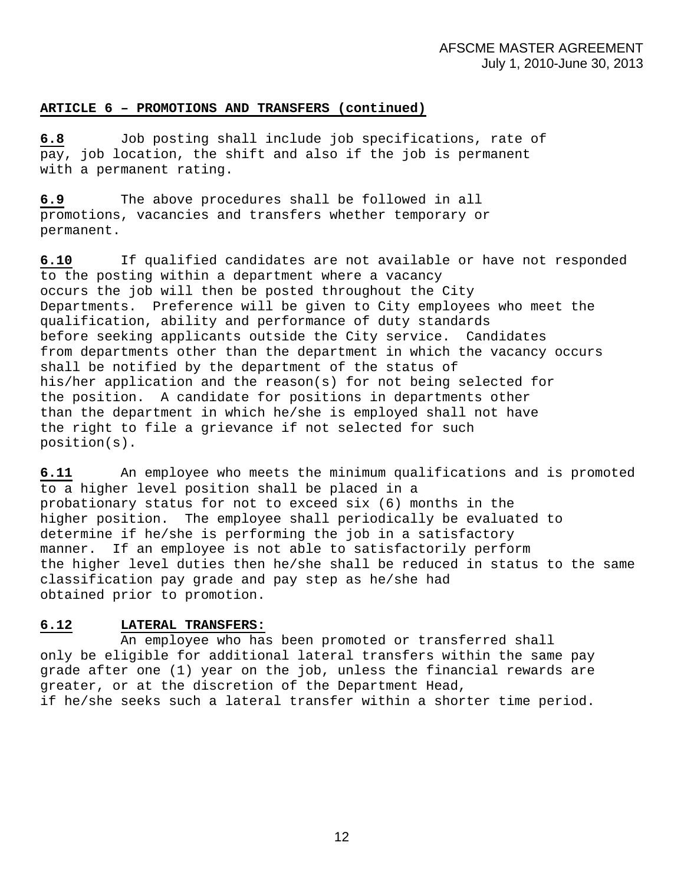# **ARTICLE 6 – PROMOTIONS AND TRANSFERS (continued)**

**6.8** Job posting shall include job specifications, rate of pay, job location, the shift and also if the job is permanent with a permanent rating.

**6.9** The above procedures shall be followed in all promotions, vacancies and transfers whether temporary or permanent.

**6.10** If qualified candidates are not available or have not responded to the posting within a department where a vacancy occurs the job will then be posted throughout the City Departments. Preference will be given to City employees who meet the qualification, ability and performance of duty standards before seeking applicants outside the City service. Candidates from departments other than the department in which the vacancy occurs shall be notified by the department of the status of his/her application and the reason(s) for not being selected for the position. A candidate for positions in departments other than the department in which he/she is employed shall not have the right to file a grievance if not selected for such position(s).

**6.11** An employee who meets the minimum qualifications and is promoted to a higher level position shall be placed in a probationary status for not to exceed six (6) months in the higher position. The employee shall periodically be evaluated to determine if he/she is performing the job in a satisfactory manner. If an employee is not able to satisfactorily perform the higher level duties then he/she shall be reduced in status to the same classification pay grade and pay step as he/she had obtained prior to promotion.

# **6.12 LATERAL TRANSFERS:**

 An employee who has been promoted or transferred shall only be eligible for additional lateral transfers within the same pay grade after one (1) year on the job, unless the financial rewards are greater, or at the discretion of the Department Head, if he/she seeks such a lateral transfer within a shorter time period.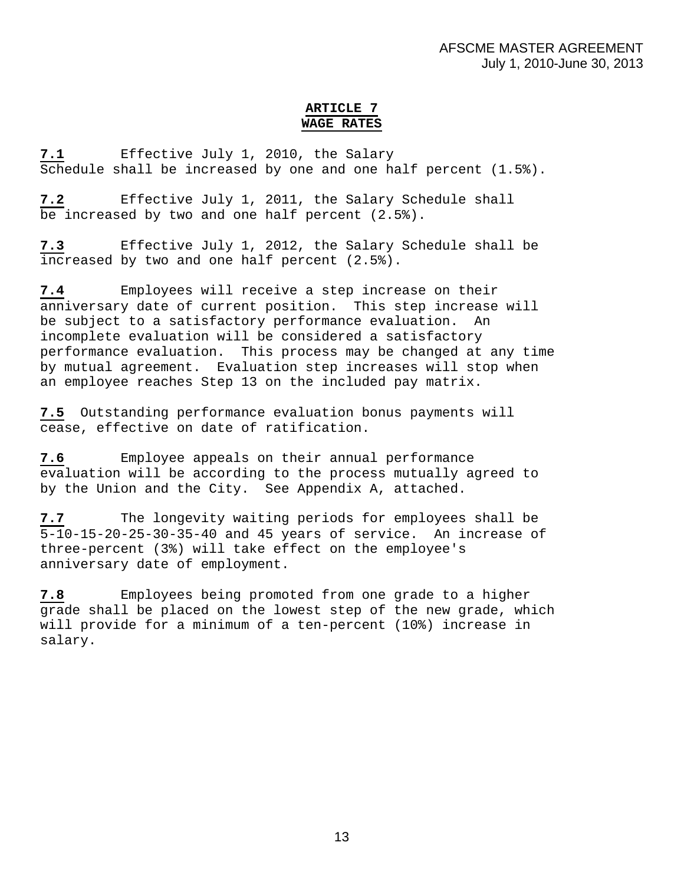# **ARTICLE 7 WAGE RATES**

**7.1** Effective July 1, 2010, the Salary Schedule shall be increased by one and one half percent (1.5%).

**7.2** Effective July 1, 2011, the Salary Schedule shall be increased by two and one half percent (2.5%).

**7.3** Effective July 1, 2012, the Salary Schedule shall be increased by two and one half percent (2.5%).

**7.4** Employees will receive a step increase on their anniversary date of current position. This step increase will be subject to a satisfactory performance evaluation. An incomplete evaluation will be considered a satisfactory performance evaluation. This process may be changed at any time by mutual agreement. Evaluation step increases will stop when an employee reaches Step 13 on the included pay matrix.

**7.5** Outstanding performance evaluation bonus payments will cease, effective on date of ratification.

**7.6** Employee appeals on their annual performance evaluation will be according to the process mutually agreed to by the Union and the City. See Appendix A, attached.

**7.7** The longevity waiting periods for employees shall be 5-10-15-20-25-30-35-40 and 45 years of service. An increase of three-percent (3%) will take effect on the employee's anniversary date of employment.

**7.8** Employees being promoted from one grade to a higher grade shall be placed on the lowest step of the new grade, which will provide for a minimum of a ten-percent (10%) increase in salary.

13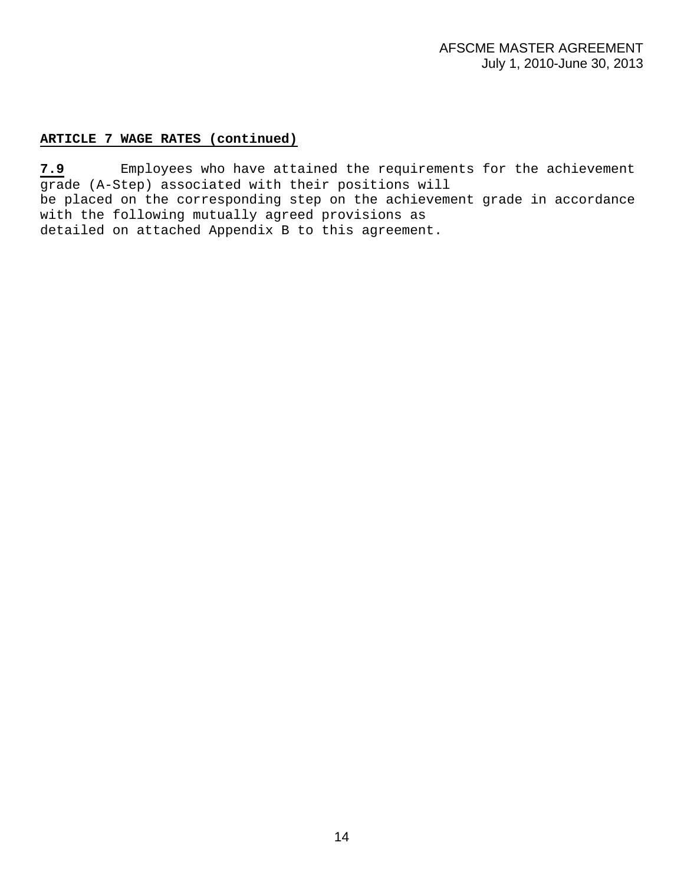# **ARTICLE 7 WAGE RATES (continued)**

**7.9** Employees who have attained the requirements for the achievement grade (A-Step) associated with their positions will be placed on the corresponding step on the achievement grade in accordance with the following mutually agreed provisions as detailed on attached Appendix B to this agreement.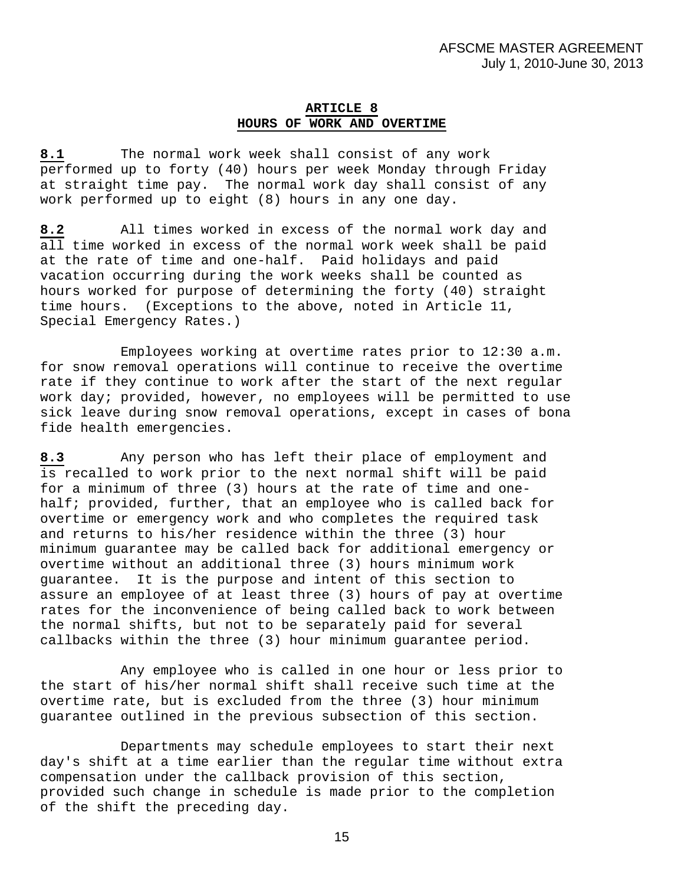#### **ARTICLE 8 HOURS OF WORK AND OVERTIME**

**8.1** The normal work week shall consist of any work performed up to forty (40) hours per week Monday through Friday at straight time pay. The normal work day shall consist of any work performed up to eight (8) hours in any one day.

**8.2** All times worked in excess of the normal work day and all time worked in excess of the normal work week shall be paid at the rate of time and one-half. Paid holidays and paid vacation occurring during the work weeks shall be counted as hours worked for purpose of determining the forty (40) straight time hours. (Exceptions to the above, noted in Article 11, Special Emergency Rates.)

 Employees working at overtime rates prior to 12:30 a.m. for snow removal operations will continue to receive the overtime rate if they continue to work after the start of the next regular work day; provided, however, no employees will be permitted to use sick leave during snow removal operations, except in cases of bona fide health emergencies.

**8.3** Any person who has left their place of employment and is recalled to work prior to the next normal shift will be paid for a minimum of three (3) hours at the rate of time and onehalf; provided, further, that an employee who is called back for overtime or emergency work and who completes the required task and returns to his/her residence within the three (3) hour minimum guarantee may be called back for additional emergency or overtime without an additional three (3) hours minimum work guarantee. It is the purpose and intent of this section to assure an employee of at least three (3) hours of pay at overtime rates for the inconvenience of being called back to work between the normal shifts, but not to be separately paid for several callbacks within the three (3) hour minimum guarantee period.

 Any employee who is called in one hour or less prior to the start of his/her normal shift shall receive such time at the overtime rate, but is excluded from the three (3) hour minimum guarantee outlined in the previous subsection of this section.

 Departments may schedule employees to start their next day's shift at a time earlier than the regular time without extra compensation under the callback provision of this section, provided such change in schedule is made prior to the completion of the shift the preceding day.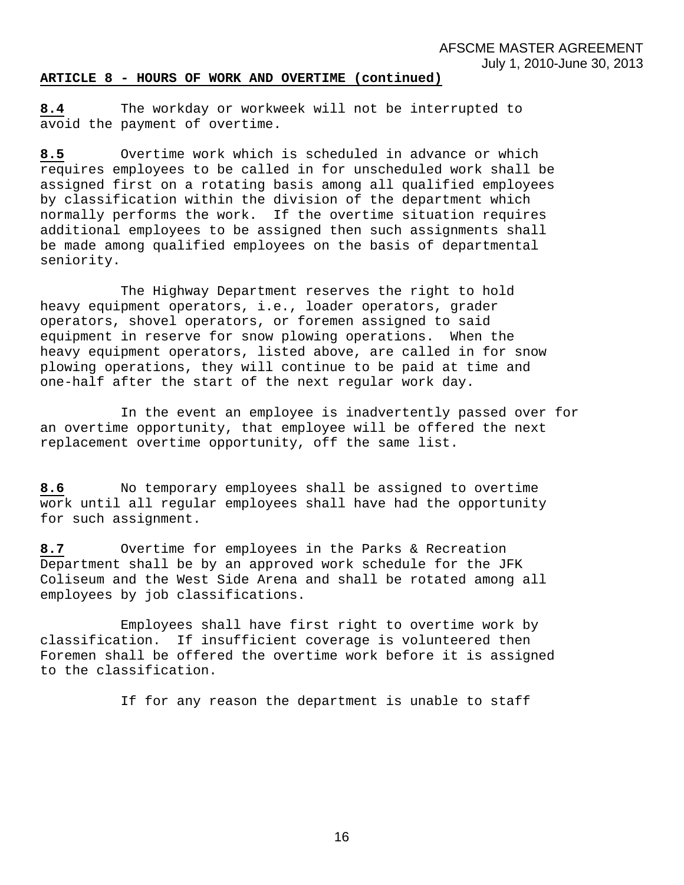#### **ARTICLE 8 - HOURS OF WORK AND OVERTIME (continued)**

**8.4** The workday or workweek will not be interrupted to avoid the payment of overtime.

**8.5** Overtime work which is scheduled in advance or which requires employees to be called in for unscheduled work shall be assigned first on a rotating basis among all qualified employees by classification within the division of the department which normally performs the work. If the overtime situation requires additional employees to be assigned then such assignments shall be made among qualified employees on the basis of departmental seniority.

 The Highway Department reserves the right to hold heavy equipment operators, i.e., loader operators, grader operators, shovel operators, or foremen assigned to said equipment in reserve for snow plowing operations. When the heavy equipment operators, listed above, are called in for snow plowing operations, they will continue to be paid at time and one-half after the start of the next regular work day.

 In the event an employee is inadvertently passed over for an overtime opportunity, that employee will be offered the next replacement overtime opportunity, off the same list.

**8.6** No temporary employees shall be assigned to overtime work until all regular employees shall have had the opportunity for such assignment.

**8.7** Overtime for employees in the Parks & Recreation Department shall be by an approved work schedule for the JFK Coliseum and the West Side Arena and shall be rotated among all employees by job classifications.

 Employees shall have first right to overtime work by classification. If insufficient coverage is volunteered then Foremen shall be offered the overtime work before it is assigned to the classification.

If for any reason the department is unable to staff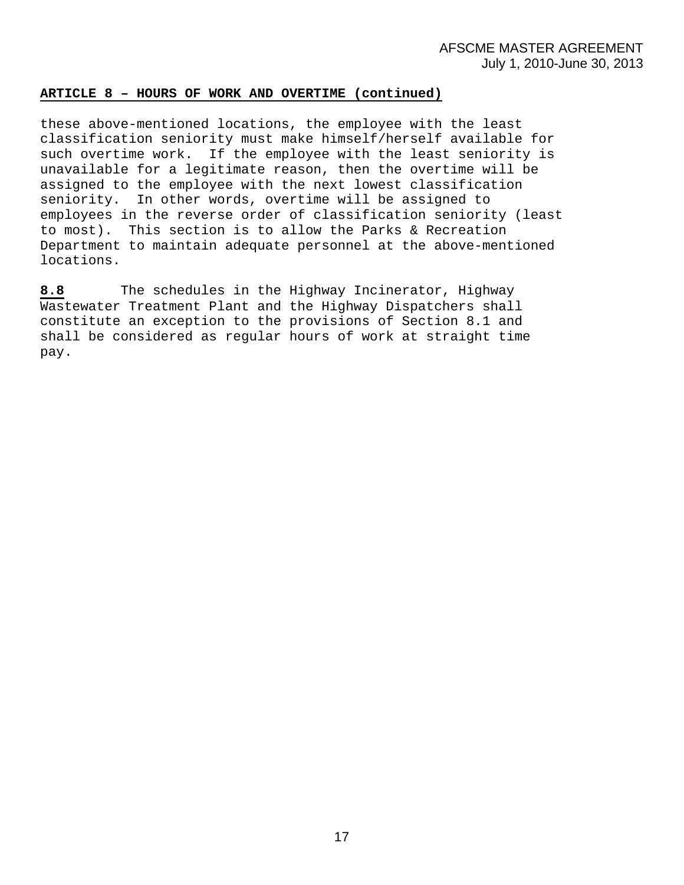#### **ARTICLE 8 – HOURS OF WORK AND OVERTIME (continued)**

these above-mentioned locations, the employee with the least classification seniority must make himself/herself available for such overtime work. If the employee with the least seniority is unavailable for a legitimate reason, then the overtime will be assigned to the employee with the next lowest classification seniority. In other words, overtime will be assigned to employees in the reverse order of classification seniority (least to most). This section is to allow the Parks & Recreation Department to maintain adequate personnel at the above-mentioned locations.

**8.8** The schedules in the Highway Incinerator, Highway Wastewater Treatment Plant and the Highway Dispatchers shall constitute an exception to the provisions of Section 8.1 and shall be considered as regular hours of work at straight time pay.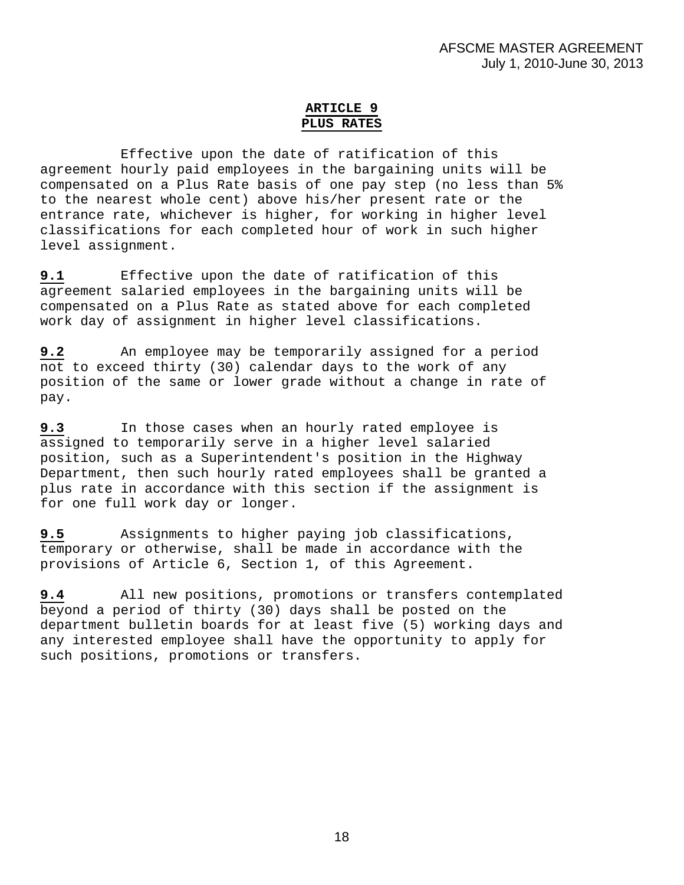# **ARTICLE 9 PLUS RATES**

Effective upon the date of ratification of this agreement hourly paid employees in the bargaining units will be compensated on a Plus Rate basis of one pay step (no less than 5% to the nearest whole cent) above his/her present rate or the entrance rate, whichever is higher, for working in higher level classifications for each completed hour of work in such higher level assignment.

**9.1** Effective upon the date of ratification of this agreement salaried employees in the bargaining units will be compensated on a Plus Rate as stated above for each completed work day of assignment in higher level classifications.

**9.2** An employee may be temporarily assigned for a period not to exceed thirty (30) calendar days to the work of any position of the same or lower grade without a change in rate of pay.

**9.3** In those cases when an hourly rated employee is assigned to temporarily serve in a higher level salaried position, such as a Superintendent's position in the Highway Department, then such hourly rated employees shall be granted a plus rate in accordance with this section if the assignment is for one full work day or longer.

**9.5** Assignments to higher paying job classifications, temporary or otherwise, shall be made in accordance with the provisions of Article 6, Section 1, of this Agreement.

**9.4** All new positions, promotions or transfers contemplated beyond a period of thirty (30) days shall be posted on the department bulletin boards for at least five (5) working days and any interested employee shall have the opportunity to apply for such positions, promotions or transfers.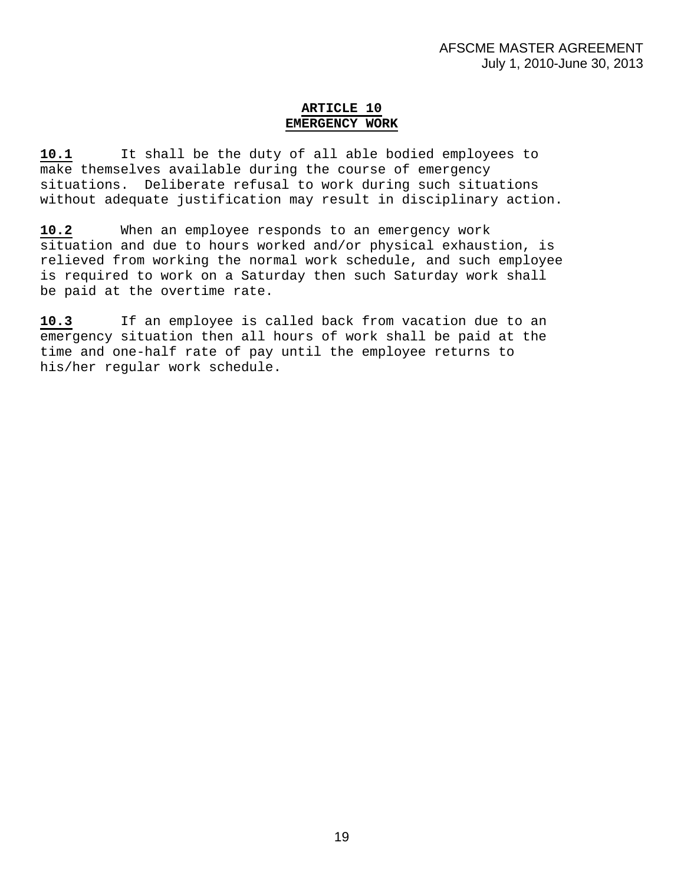# **ARTICLE 10 EMERGENCY WORK**

**10.1** It shall be the duty of all able bodied employees to make themselves available during the course of emergency situations. Deliberate refusal to work during such situations without adequate justification may result in disciplinary action.

**10.2** When an employee responds to an emergency work situation and due to hours worked and/or physical exhaustion, is relieved from working the normal work schedule, and such employee is required to work on a Saturday then such Saturday work shall be paid at the overtime rate.

**10.3** If an employee is called back from vacation due to an emergency situation then all hours of work shall be paid at the time and one-half rate of pay until the employee returns to his/her regular work schedule.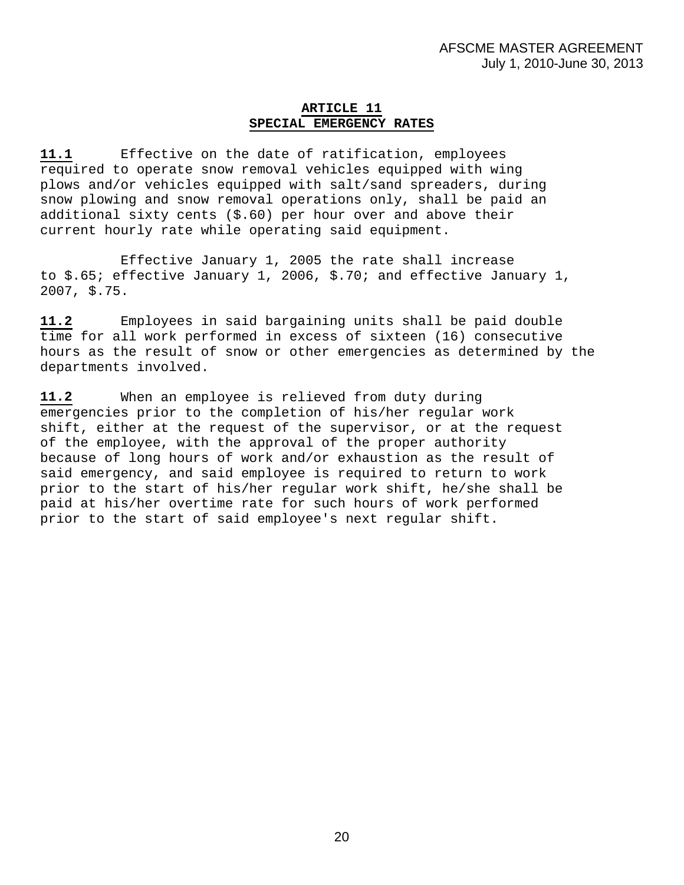#### **ARTICLE 11 SPECIAL EMERGENCY RATES**

**11.1** Effective on the date of ratification, employees required to operate snow removal vehicles equipped with wing plows and/or vehicles equipped with salt/sand spreaders, during snow plowing and snow removal operations only, shall be paid an additional sixty cents (\$.60) per hour over and above their current hourly rate while operating said equipment.

Effective January 1, 2005 the rate shall increase to \$.65; effective January 1, 2006, \$.70; and effective January 1, 2007, \$.75.

**11.2** Employees in said bargaining units shall be paid double time for all work performed in excess of sixteen (16) consecutive hours as the result of snow or other emergencies as determined by the departments involved.

**11.2** When an employee is relieved from duty during emergencies prior to the completion of his/her regular work shift, either at the request of the supervisor, or at the request of the employee, with the approval of the proper authority because of long hours of work and/or exhaustion as the result of said emergency, and said employee is required to return to work prior to the start of his/her regular work shift, he/she shall be paid at his/her overtime rate for such hours of work performed prior to the start of said employee's next regular shift.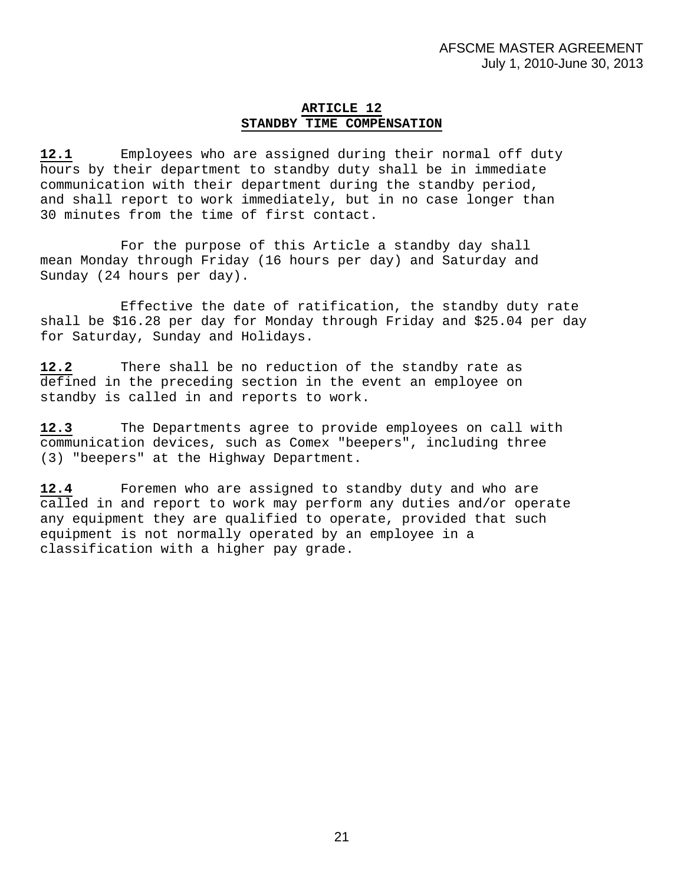#### **ARTICLE 12 STANDBY TIME COMPENSATION**

**12.1** Employees who are assigned during their normal off duty hours by their department to standby duty shall be in immediate communication with their department during the standby period, and shall report to work immediately, but in no case longer than 30 minutes from the time of first contact.

 For the purpose of this Article a standby day shall mean Monday through Friday (16 hours per day) and Saturday and Sunday (24 hours per day).

 Effective the date of ratification, the standby duty rate shall be \$16.28 per day for Monday through Friday and \$25.04 per day for Saturday, Sunday and Holidays.

**12.2** There shall be no reduction of the standby rate as defined in the preceding section in the event an employee on standby is called in and reports to work.

**12.3** The Departments agree to provide employees on call with communication devices, such as Comex "beepers", including three (3) "beepers" at the Highway Department.

**12.4** Foremen who are assigned to standby duty and who are called in and report to work may perform any duties and/or operate any equipment they are qualified to operate, provided that such equipment is not normally operated by an employee in a classification with a higher pay grade.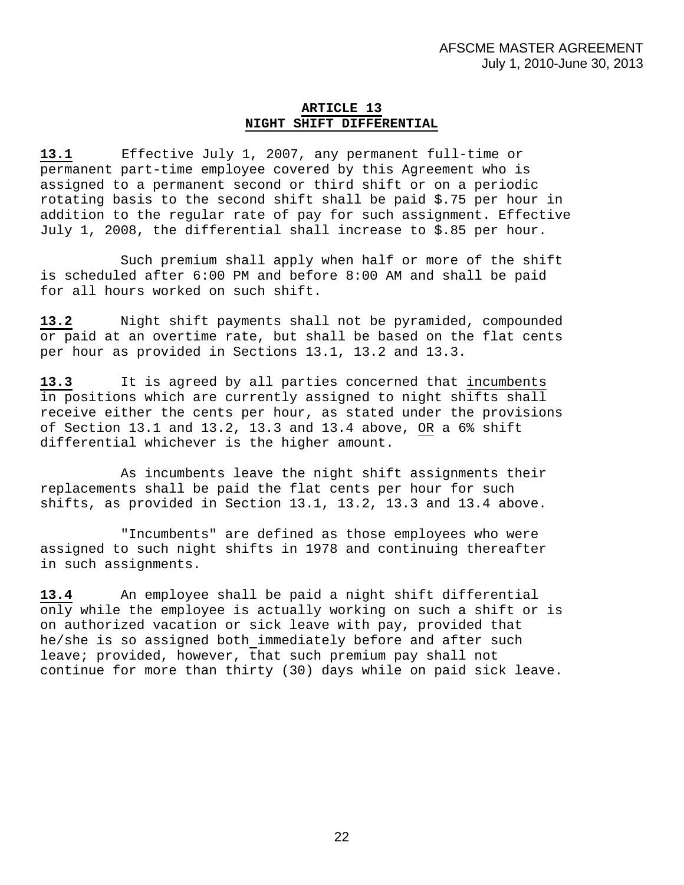#### **ARTICLE 13 NIGHT SHIFT DIFFERENTIAL**

**13.1** Effective July 1, 2007, any permanent full-time or permanent part-time employee covered by this Agreement who is assigned to a permanent second or third shift or on a periodic rotating basis to the second shift shall be paid \$.75 per hour in addition to the regular rate of pay for such assignment. Effective July 1, 2008, the differential shall increase to \$.85 per hour.

 Such premium shall apply when half or more of the shift is scheduled after 6:00 PM and before 8:00 AM and shall be paid for all hours worked on such shift.

**13.2** Night shift payments shall not be pyramided, compounded or paid at an overtime rate, but shall be based on the flat cents per hour as provided in Sections 13.1, 13.2 and 13.3.

**13.3** It is agreed by all parties concerned that incumbents in positions which are currently assigned to night shifts shall receive either the cents per hour, as stated under the provisions of Section 13.1 and 13.2, 13.3 and 13.4 above, OR a 6% shift differential whichever is the higher amount.

 As incumbents leave the night shift assignments their replacements shall be paid the flat cents per hour for such shifts, as provided in Section 13.1, 13.2, 13.3 and 13.4 above.

 "Incumbents" are defined as those employees who were assigned to such night shifts in 1978 and continuing thereafter in such assignments.

**13.4** An employee shall be paid a night shift differential only while the employee is actually working on such a shift or is on authorized vacation or sick leave with pay, provided that he/she is so assigned both immediately before and after such leave; provided, however, that such premium pay shall not continue for more than thirty (30) days while on paid sick leave.

22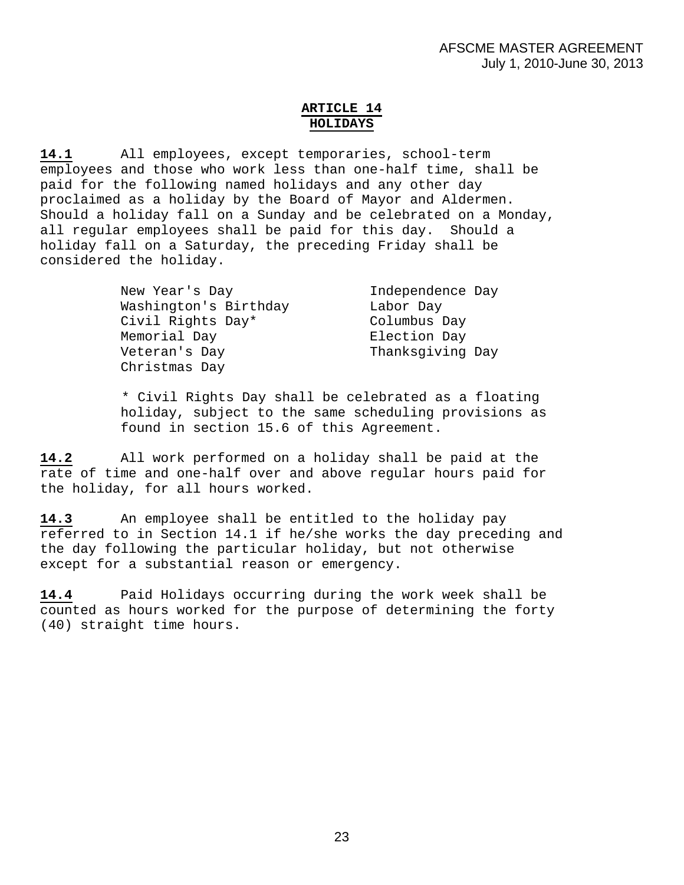# **ARTICLE 14 HOLIDAYS**

**14.1** All employees, except temporaries, school-term employees and those who work less than one-half time, shall be paid for the following named holidays and any other day proclaimed as a holiday by the Board of Mayor and Aldermen. Should a holiday fall on a Sunday and be celebrated on a Monday, all regular employees shall be paid for this day. Should a holiday fall on a Saturday, the preceding Friday shall be considered the holiday.

| New Year's Day        | Independence Day |
|-----------------------|------------------|
| Washington's Birthday | Labor Day        |
| Civil Rights Day*     | Columbus Day     |
| Memorial Day          | Election Day     |
| Veteran's Day         | Thanksqiving Day |
| Christmas Day         |                  |

\* Civil Rights Day shall be celebrated as a floating holiday, subject to the same scheduling provisions as found in section 15.6 of this Agreement.

**14.2** All work performed on a holiday shall be paid at the rate of time and one-half over and above regular hours paid for the holiday, for all hours worked.

**14.3** An employee shall be entitled to the holiday pay referred to in Section 14.1 if he/she works the day preceding and the day following the particular holiday, but not otherwise except for a substantial reason or emergency.

**14.4** Paid Holidays occurring during the work week shall be counted as hours worked for the purpose of determining the forty (40) straight time hours.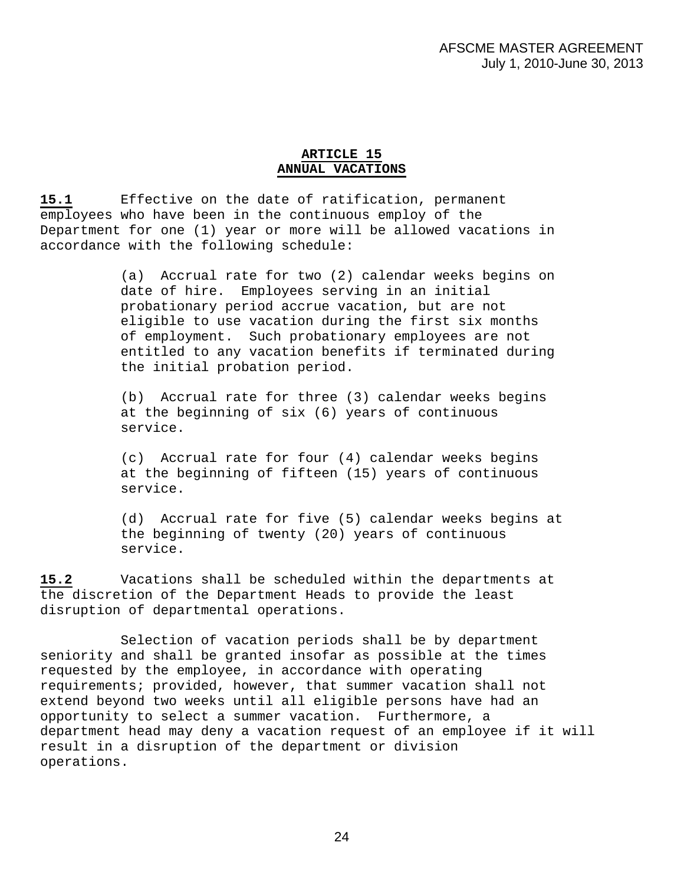# **ARTICLE 15 ANNUAL VACATIONS**

**15.1** Effective on the date of ratification, permanent employees who have been in the continuous employ of the Department for one (1) year or more will be allowed vacations in accordance with the following schedule:

> (a) Accrual rate for two (2) calendar weeks begins on date of hire. Employees serving in an initial probationary period accrue vacation, but are not eligible to use vacation during the first six months of employment. Such probationary employees are not entitled to any vacation benefits if terminated during the initial probation period.

(b) Accrual rate for three (3) calendar weeks begins at the beginning of six (6) years of continuous service.

(c) Accrual rate for four (4) calendar weeks begins at the beginning of fifteen (15) years of continuous service.

(d) Accrual rate for five (5) calendar weeks begins at the beginning of twenty (20) years of continuous service.

**15.2** Vacations shall be scheduled within the departments at the discretion of the Department Heads to provide the least disruption of departmental operations.

 Selection of vacation periods shall be by department seniority and shall be granted insofar as possible at the times requested by the employee, in accordance with operating requirements; provided, however, that summer vacation shall not extend beyond two weeks until all eligible persons have had an opportunity to select a summer vacation. Furthermore, a department head may deny a vacation request of an employee if it will result in a disruption of the department or division operations.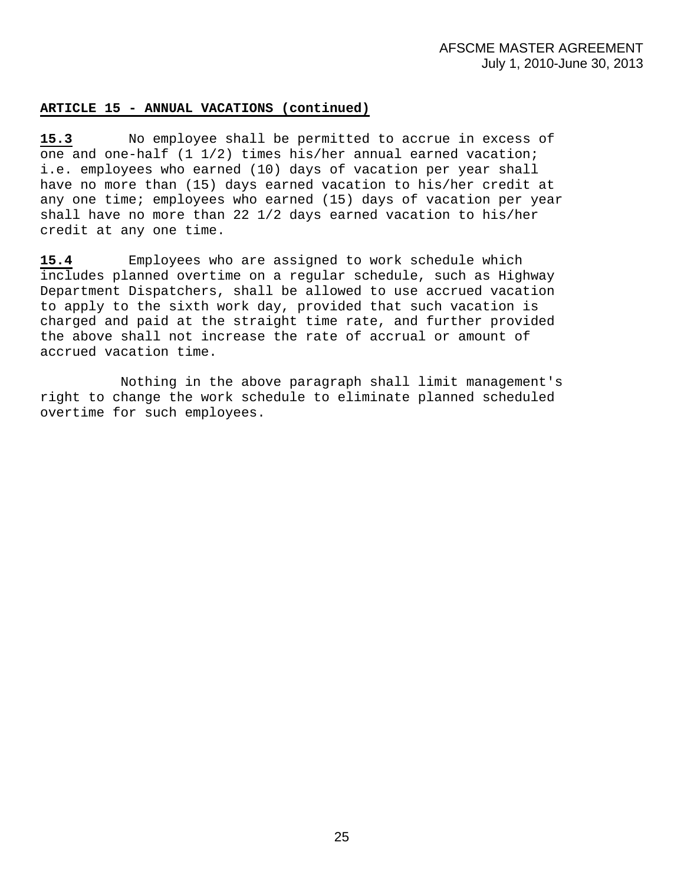# **ARTICLE 15 - ANNUAL VACATIONS (continued)**

**15.3** No employee shall be permitted to accrue in excess of one and one-half (1 1/2) times his/her annual earned vacation; i.e. employees who earned (10) days of vacation per year shall have no more than (15) days earned vacation to his/her credit at any one time; employees who earned (15) days of vacation per year shall have no more than 22 1/2 days earned vacation to his/her credit at any one time.

**15.4** Employees who are assigned to work schedule which includes planned overtime on a regular schedule, such as Highway Department Dispatchers, shall be allowed to use accrued vacation to apply to the sixth work day, provided that such vacation is charged and paid at the straight time rate, and further provided the above shall not increase the rate of accrual or amount of accrued vacation time.

 Nothing in the above paragraph shall limit management's right to change the work schedule to eliminate planned scheduled overtime for such employees.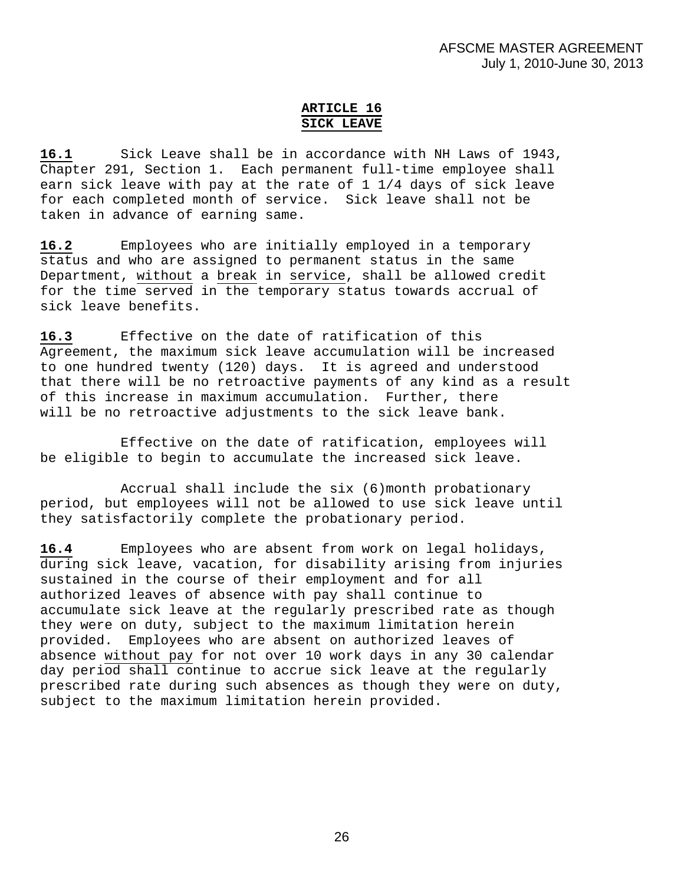# **ARTICLE 16 SICK LEAVE**

**16.1** Sick Leave shall be in accordance with NH Laws of 1943, Chapter 291, Section 1. Each permanent full-time employee shall earn sick leave with pay at the rate of 1 1/4 days of sick leave for each completed month of service. Sick leave shall not be taken in advance of earning same.

**16.2** Employees who are initially employed in a temporary status and who are assigned to permanent status in the same Department, without a break in service, shall be allowed credit for the time served in the temporary status towards accrual of sick leave benefits.

**16.3** Effective on the date of ratification of this Agreement, the maximum sick leave accumulation will be increased to one hundred twenty (120) days. It is agreed and understood that there will be no retroactive payments of any kind as a result of this increase in maximum accumulation. Further, there will be no retroactive adjustments to the sick leave bank.

Effective on the date of ratification, employees will be eligible to begin to accumulate the increased sick leave.

Accrual shall include the six (6)month probationary period, but employees will not be allowed to use sick leave until they satisfactorily complete the probationary period.

**16.4** Employees who are absent from work on legal holidays, during sick leave, vacation, for disability arising from injuries sustained in the course of their employment and for all authorized leaves of absence with pay shall continue to accumulate sick leave at the regularly prescribed rate as though they were on duty, subject to the maximum limitation herein provided. Employees who are absent on authorized leaves of absence without pay for not over 10 work days in any 30 calendar day period shall continue to accrue sick leave at the regularly prescribed rate during such absences as though they were on duty, subject to the maximum limitation herein provided.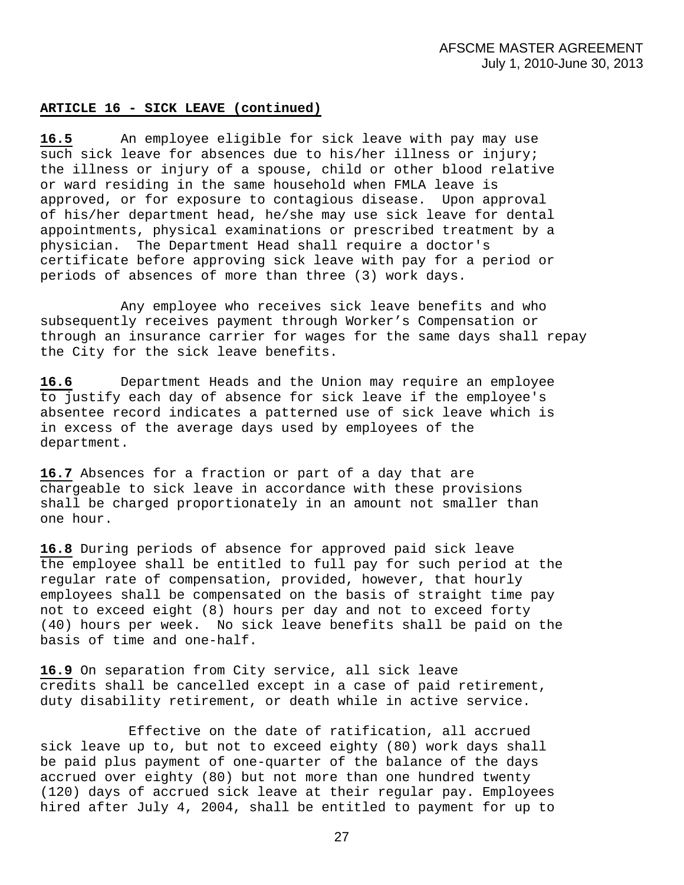#### **ARTICLE 16 - SICK LEAVE (continued)**

**16.5** An employee eligible for sick leave with pay may use such sick leave for absences due to his/her illness or injury; the illness or injury of a spouse, child or other blood relative or ward residing in the same household when FMLA leave is approved, or for exposure to contagious disease. Upon approval of his/her department head, he/she may use sick leave for dental appointments, physical examinations or prescribed treatment by a physician. The Department Head shall require a doctor's certificate before approving sick leave with pay for a period or periods of absences of more than three (3) work days.

 Any employee who receives sick leave benefits and who subsequently receives payment through Worker's Compensation or through an insurance carrier for wages for the same days shall repay the City for the sick leave benefits.

**16.6** Department Heads and the Union may require an employee to justify each day of absence for sick leave if the employee's absentee record indicates a patterned use of sick leave which is in excess of the average days used by employees of the department.

**16.7** Absences for a fraction or part of a day that are chargeable to sick leave in accordance with these provisions shall be charged proportionately in an amount not smaller than one hour.

**16.8** During periods of absence for approved paid sick leave the employee shall be entitled to full pay for such period at the regular rate of compensation, provided, however, that hourly employees shall be compensated on the basis of straight time pay not to exceed eight (8) hours per day and not to exceed forty (40) hours per week. No sick leave benefits shall be paid on the basis of time and one-half.

**16.9** On separation from City service, all sick leave credits shall be cancelled except in a case of paid retirement, duty disability retirement, or death while in active service.

 Effective on the date of ratification, all accrued sick leave up to, but not to exceed eighty (80) work days shall be paid plus payment of one-quarter of the balance of the days accrued over eighty (80) but not more than one hundred twenty (120) days of accrued sick leave at their regular pay. Employees hired after July 4, 2004, shall be entitled to payment for up to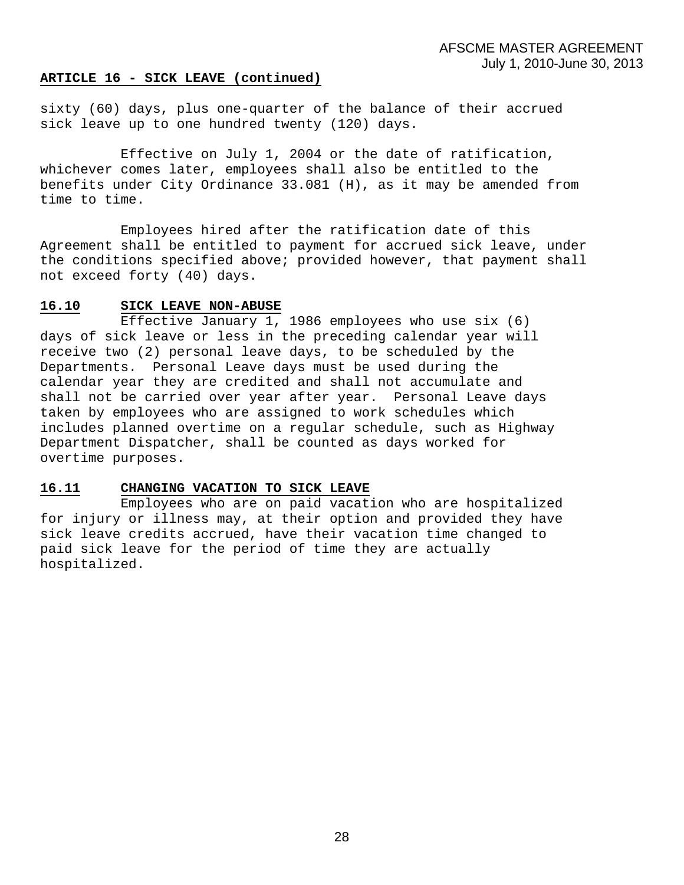#### **ARTICLE 16 - SICK LEAVE (continued)**

sixty (60) days, plus one-quarter of the balance of their accrued sick leave up to one hundred twenty (120) days.

 Effective on July 1, 2004 or the date of ratification, whichever comes later, employees shall also be entitled to the benefits under City Ordinance 33.081 (H), as it may be amended from time to time.

 Employees hired after the ratification date of this Agreement shall be entitled to payment for accrued sick leave, under the conditions specified above; provided however, that payment shall not exceed forty (40) days.

#### **16.10 SICK LEAVE NON-ABUSE**

 Effective January 1, 1986 employees who use six (6) days of sick leave or less in the preceding calendar year will receive two (2) personal leave days, to be scheduled by the Departments. Personal Leave days must be used during the calendar year they are credited and shall not accumulate and shall not be carried over year after year. Personal Leave days taken by employees who are assigned to work schedules which includes planned overtime on a regular schedule, such as Highway Department Dispatcher, shall be counted as days worked for overtime purposes.

# **16.11 CHANGING VACATION TO SICK LEAVE**

 Employees who are on paid vacation who are hospitalized for injury or illness may, at their option and provided they have sick leave credits accrued, have their vacation time changed to paid sick leave for the period of time they are actually hospitalized.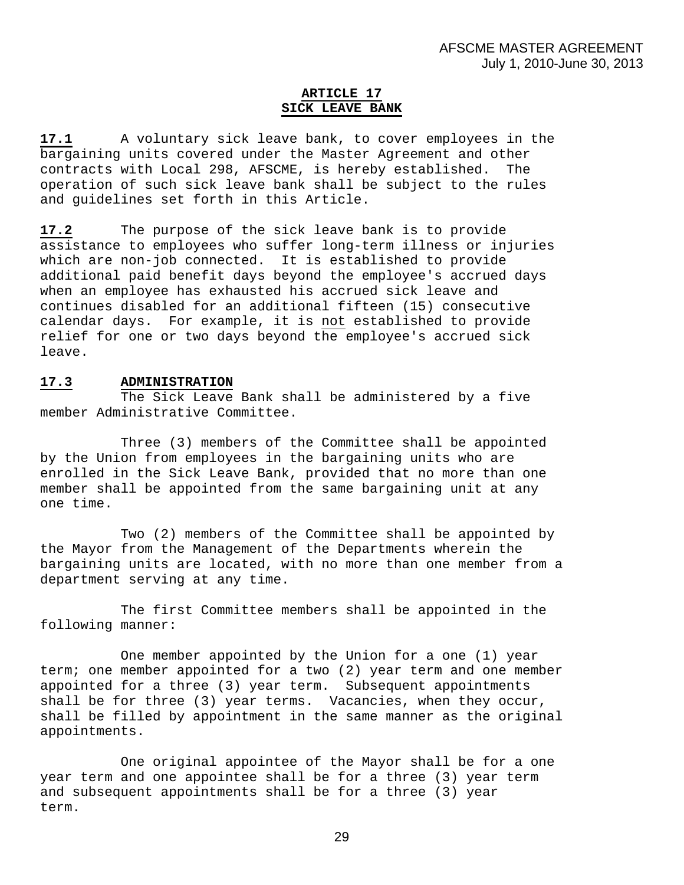# **ARTICLE 17 SICK LEAVE BANK**

**17.1** A voluntary sick leave bank, to cover employees in the bargaining units covered under the Master Agreement and other contracts with Local 298, AFSCME, is hereby established. The operation of such sick leave bank shall be subject to the rules and guidelines set forth in this Article.

**17.2** The purpose of the sick leave bank is to provide assistance to employees who suffer long-term illness or injuries which are non-job connected. It is established to provide additional paid benefit days beyond the employee's accrued days when an employee has exhausted his accrued sick leave and continues disabled for an additional fifteen (15) consecutive calendar days. For example, it is not established to provide relief for one or two days beyond the employee's accrued sick leave.

# **17.3 ADMINISTRATION**

 The Sick Leave Bank shall be administered by a five member Administrative Committee.

 Three (3) members of the Committee shall be appointed by the Union from employees in the bargaining units who are enrolled in the Sick Leave Bank, provided that no more than one member shall be appointed from the same bargaining unit at any one time.

 Two (2) members of the Committee shall be appointed by the Mayor from the Management of the Departments wherein the bargaining units are located, with no more than one member from a department serving at any time.

 The first Committee members shall be appointed in the following manner:

 One member appointed by the Union for a one (1) year term; one member appointed for a two (2) year term and one member appointed for a three (3) year term. Subsequent appointments shall be for three (3) year terms. Vacancies, when they occur, shall be filled by appointment in the same manner as the original appointments.

 One original appointee of the Mayor shall be for a one year term and one appointee shall be for a three (3) year term and subsequent appointments shall be for a three (3) year term.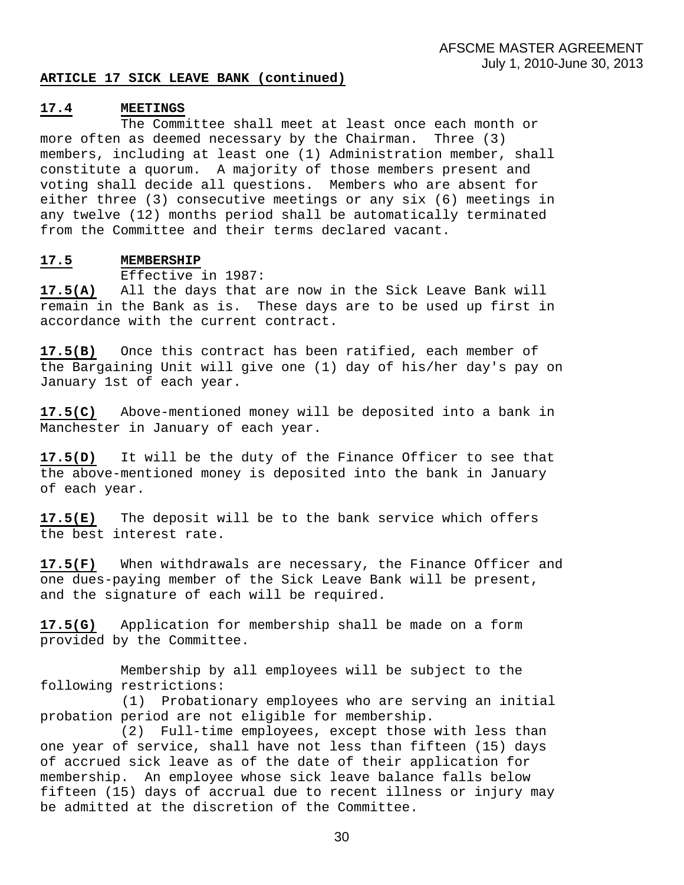#### **ARTICLE 17 SICK LEAVE BANK (continued)**

#### **17.4 MEETINGS**

 The Committee shall meet at least once each month or more often as deemed necessary by the Chairman. Three (3) members, including at least one (1) Administration member, shall constitute a quorum. A majority of those members present and voting shall decide all questions. Members who are absent for either three (3) consecutive meetings or any six (6) meetings in any twelve (12) months period shall be automatically terminated from the Committee and their terms declared vacant.

#### **17.5 MEMBERSHIP**

Effective in 1987:

**17.5(A)** All the days that are now in the Sick Leave Bank will remain in the Bank as is. These days are to be used up first in accordance with the current contract.

**17.5(B)** Once this contract has been ratified, each member of the Bargaining Unit will give one (1) day of his/her day's pay on January 1st of each year.

**17.5(C)** Above-mentioned money will be deposited into a bank in Manchester in January of each year.

**17.5(D)** It will be the duty of the Finance Officer to see that the above-mentioned money is deposited into the bank in January of each year.

**17.5(E)** The deposit will be to the bank service which offers the best interest rate.

**17.5(F)** When withdrawals are necessary, the Finance Officer and one dues-paying member of the Sick Leave Bank will be present, and the signature of each will be required.

**17.5(G)** Application for membership shall be made on a form provided by the Committee.

 Membership by all employees will be subject to the following restrictions:

(1) Probationary employees who are serving an initial probation period are not eligible for membership.

 (2) Full-time employees, except those with less than one year of service, shall have not less than fifteen (15) days of accrued sick leave as of the date of their application for membership. An employee whose sick leave balance falls below fifteen (15) days of accrual due to recent illness or injury may be admitted at the discretion of the Committee.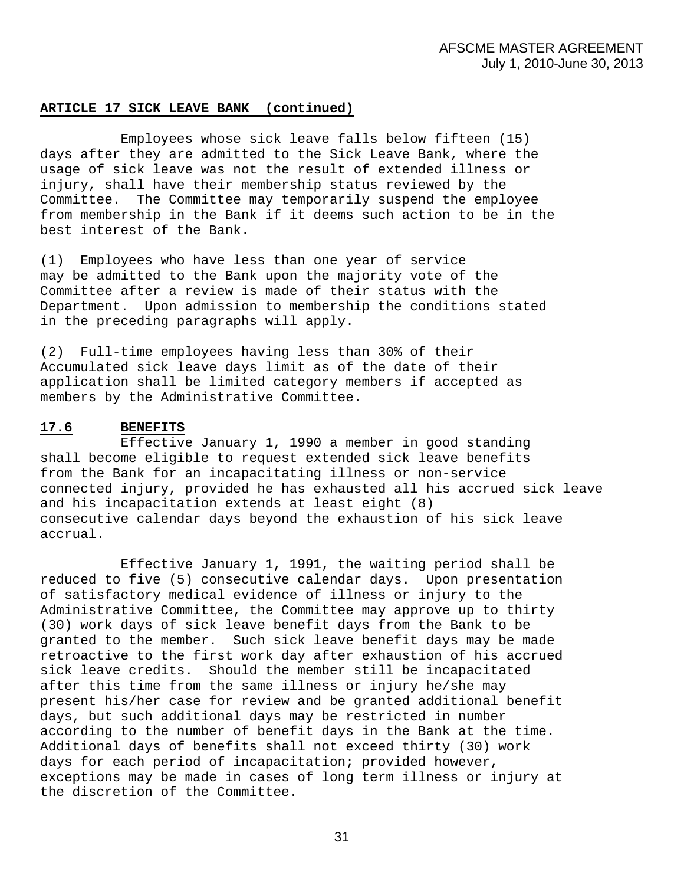#### **ARTICLE 17 SICK LEAVE BANK (continued)**

 Employees whose sick leave falls below fifteen (15) days after they are admitted to the Sick Leave Bank, where the usage of sick leave was not the result of extended illness or injury, shall have their membership status reviewed by the Committee. The Committee may temporarily suspend the employee from membership in the Bank if it deems such action to be in the best interest of the Bank.

(1) Employees who have less than one year of service may be admitted to the Bank upon the majority vote of the Committee after a review is made of their status with the Department. Upon admission to membership the conditions stated in the preceding paragraphs will apply.

(2) Full-time employees having less than 30% of their Accumulated sick leave days limit as of the date of their application shall be limited category members if accepted as members by the Administrative Committee.

# **17.6 BENEFITS**

 Effective January 1, 1990 a member in good standing shall become eligible to request extended sick leave benefits from the Bank for an incapacitating illness or non-service connected injury, provided he has exhausted all his accrued sick leave and his incapacitation extends at least eight (8) consecutive calendar days beyond the exhaustion of his sick leave accrual.

 Effective January 1, 1991, the waiting period shall be reduced to five (5) consecutive calendar days. Upon presentation of satisfactory medical evidence of illness or injury to the Administrative Committee, the Committee may approve up to thirty (30) work days of sick leave benefit days from the Bank to be granted to the member. Such sick leave benefit days may be made retroactive to the first work day after exhaustion of his accrued sick leave credits. Should the member still be incapacitated after this time from the same illness or injury he/she may present his/her case for review and be granted additional benefit days, but such additional days may be restricted in number according to the number of benefit days in the Bank at the time. Additional days of benefits shall not exceed thirty (30) work days for each period of incapacitation; provided however, exceptions may be made in cases of long term illness or injury at the discretion of the Committee.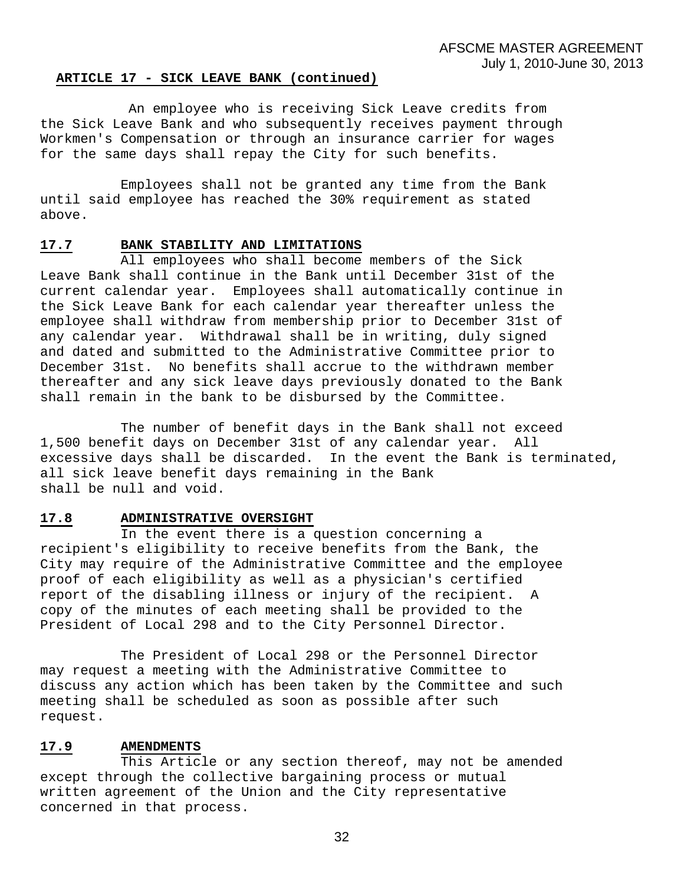#### **ARTICLE 17 - SICK LEAVE BANK (continued)**

 An employee who is receiving Sick Leave credits from the Sick Leave Bank and who subsequently receives payment through Workmen's Compensation or through an insurance carrier for wages for the same days shall repay the City for such benefits.

 Employees shall not be granted any time from the Bank until said employee has reached the 30% requirement as stated above.

#### **17.7 BANK STABILITY AND LIMITATIONS**

 All employees who shall become members of the Sick Leave Bank shall continue in the Bank until December 31st of the current calendar year. Employees shall automatically continue in the Sick Leave Bank for each calendar year thereafter unless the employee shall withdraw from membership prior to December 31st of any calendar year. Withdrawal shall be in writing, duly signed and dated and submitted to the Administrative Committee prior to December 31st. No benefits shall accrue to the withdrawn member thereafter and any sick leave days previously donated to the Bank shall remain in the bank to be disbursed by the Committee.

 The number of benefit days in the Bank shall not exceed 1,500 benefit days on December 31st of any calendar year. All excessive days shall be discarded. In the event the Bank is terminated, all sick leave benefit days remaining in the Bank shall be null and void.

#### **17.8 ADMINISTRATIVE OVERSIGHT**

 In the event there is a question concerning a recipient's eligibility to receive benefits from the Bank, the City may require of the Administrative Committee and the employee proof of each eligibility as well as a physician's certified report of the disabling illness or injury of the recipient. A copy of the minutes of each meeting shall be provided to the President of Local 298 and to the City Personnel Director.

 The President of Local 298 or the Personnel Director may request a meeting with the Administrative Committee to discuss any action which has been taken by the Committee and such meeting shall be scheduled as soon as possible after such request.

#### **17.9 AMENDMENTS**

 This Article or any section thereof, may not be amended except through the collective bargaining process or mutual written agreement of the Union and the City representative concerned in that process.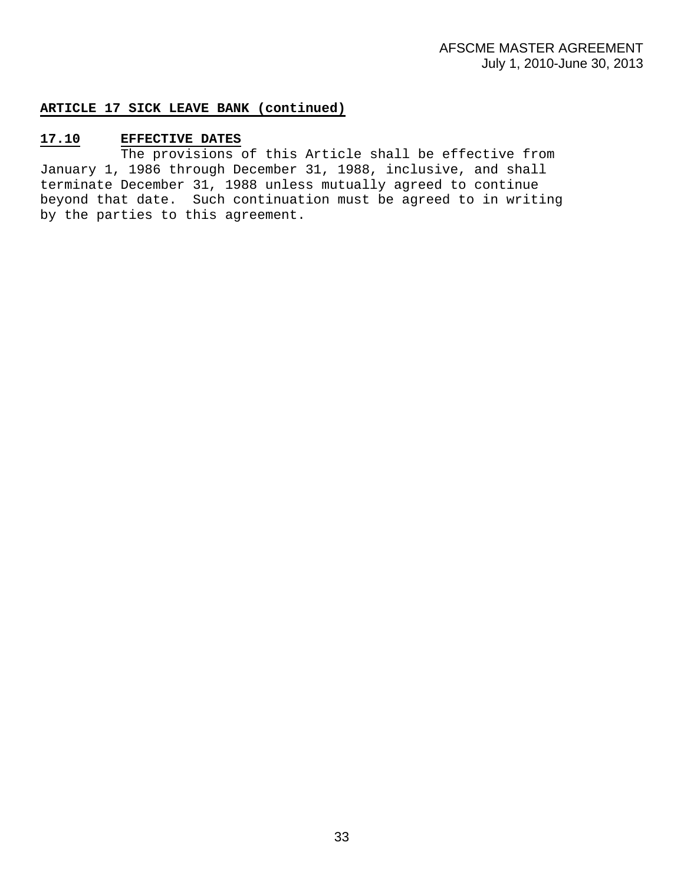# **ARTICLE 17 SICK LEAVE BANK (continued)**

# **17.10 EFFECTIVE DATES**

 The provisions of this Article shall be effective from January 1, 1986 through December 31, 1988, inclusive, and shall terminate December 31, 1988 unless mutually agreed to continue beyond that date. Such continuation must be agreed to in writing by the parties to this agreement.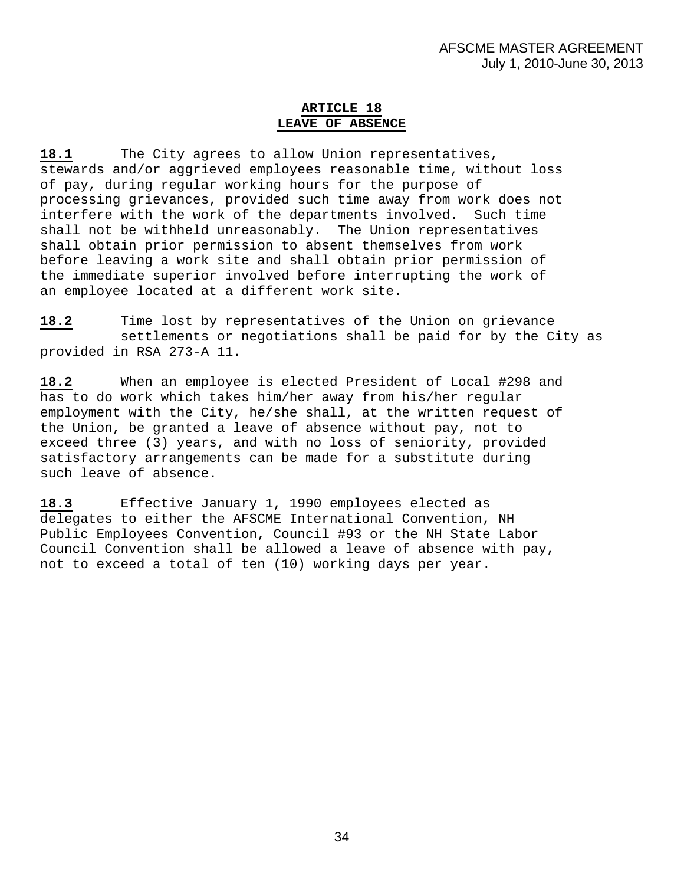# **ARTICLE 18 LEAVE OF ABSENCE**

**18.1** The City agrees to allow Union representatives, stewards and/or aggrieved employees reasonable time, without loss of pay, during regular working hours for the purpose of processing grievances, provided such time away from work does not interfere with the work of the departments involved. Such time shall not be withheld unreasonably. The Union representatives shall obtain prior permission to absent themselves from work before leaving a work site and shall obtain prior permission of the immediate superior involved before interrupting the work of an employee located at a different work site.

**18.2** Time lost by representatives of the Union on grievance settlements or negotiations shall be paid for by the City as provided in RSA 273-A 11.

**18.2** When an employee is elected President of Local #298 and has to do work which takes him/her away from his/her regular employment with the City, he/she shall, at the written request of the Union, be granted a leave of absence without pay, not to exceed three (3) years, and with no loss of seniority, provided satisfactory arrangements can be made for a substitute during such leave of absence.

**18.3** Effective January 1, 1990 employees elected as delegates to either the AFSCME International Convention, NH Public Employees Convention, Council #93 or the NH State Labor Council Convention shall be allowed a leave of absence with pay, not to exceed a total of ten (10) working days per year.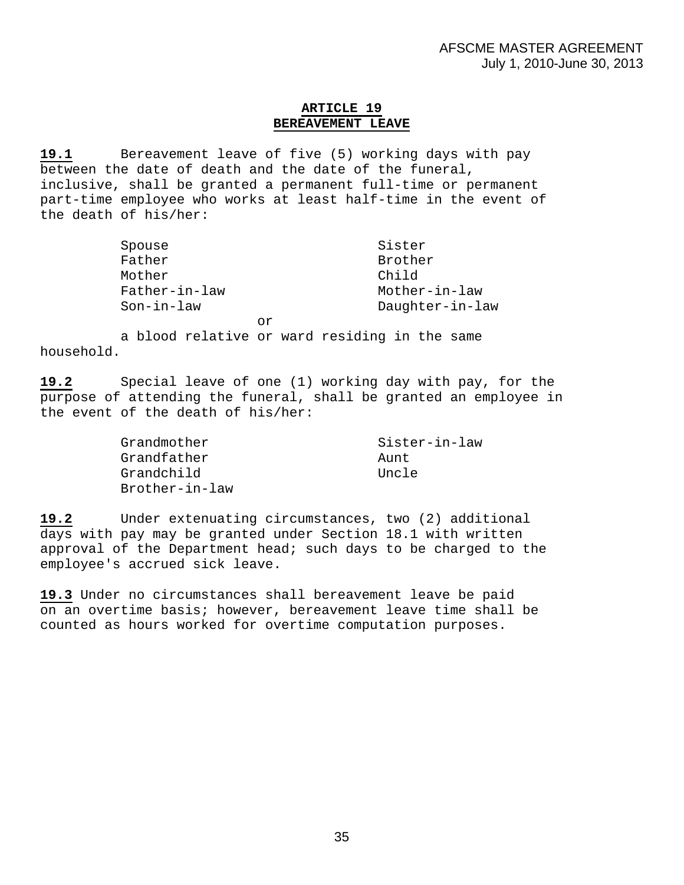# **ARTICLE 19 BEREAVEMENT LEAVE**

**19.1** Bereavement leave of five (5) working days with pay between the date of death and the date of the funeral, inclusive, shall be granted a permanent full-time or permanent part-time employee who works at least half-time in the event of the death of his/her:

| Spouse        | Sister          |
|---------------|-----------------|
| Father        | Brother         |
| Mother        | Child           |
| Father-in-law | Mother-in-law   |
| $Son-in-law$  | Daughter-in-law |
| Ωr            |                 |

 a blood relative or ward residing in the same household.

**19.2** Special leave of one (1) working day with pay, for the purpose of attending the funeral, shall be granted an employee in the event of the death of his/her:

| Grandmother    | Sister-in-law |
|----------------|---------------|
| Grandfather    | Aunt          |
| Grandchild     | Uncle         |
| Brother-in-law |               |

**19.2** Under extenuating circumstances, two (2) additional days with pay may be granted under Section 18.1 with written approval of the Department head; such days to be charged to the employee's accrued sick leave.

**19.3** Under no circumstances shall bereavement leave be paid on an overtime basis; however, bereavement leave time shall be counted as hours worked for overtime computation purposes.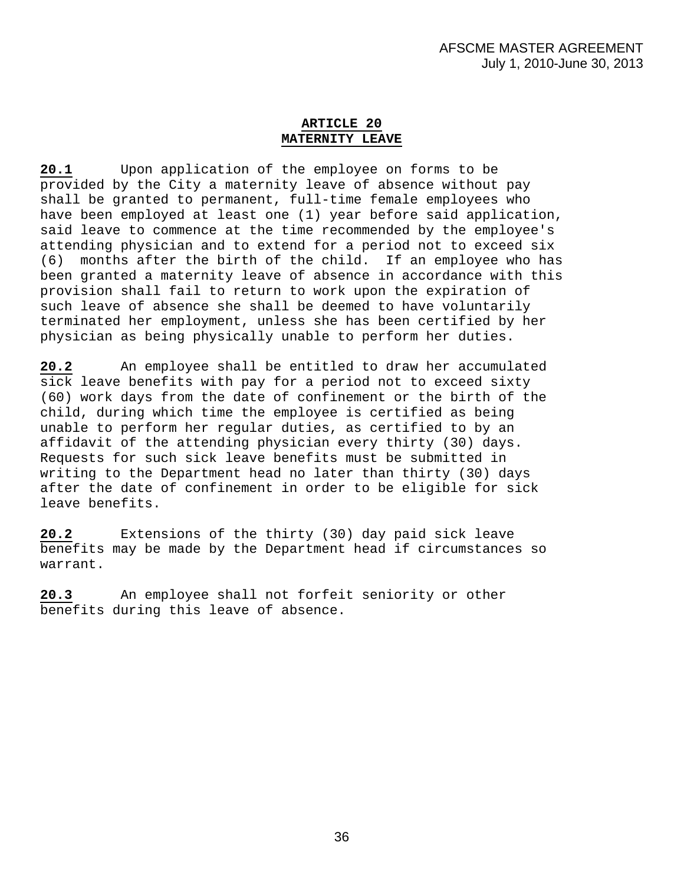# **ARTICLE 20 MATERNITY LEAVE**

**20.1** Upon application of the employee on forms to be provided by the City a maternity leave of absence without pay shall be granted to permanent, full-time female employees who have been employed at least one (1) year before said application, said leave to commence at the time recommended by the employee's attending physician and to extend for a period not to exceed six (6) months after the birth of the child. If an employee who has been granted a maternity leave of absence in accordance with this provision shall fail to return to work upon the expiration of such leave of absence she shall be deemed to have voluntarily terminated her employment, unless she has been certified by her physician as being physically unable to perform her duties.

**20.2** An employee shall be entitled to draw her accumulated sick leave benefits with pay for a period not to exceed sixty (60) work days from the date of confinement or the birth of the child, during which time the employee is certified as being unable to perform her regular duties, as certified to by an affidavit of the attending physician every thirty (30) days. Requests for such sick leave benefits must be submitted in writing to the Department head no later than thirty (30) days after the date of confinement in order to be eligible for sick leave benefits.

**20.2** Extensions of the thirty (30) day paid sick leave benefits may be made by the Department head if circumstances so warrant.

**20.3** An employee shall not forfeit seniority or other benefits during this leave of absence.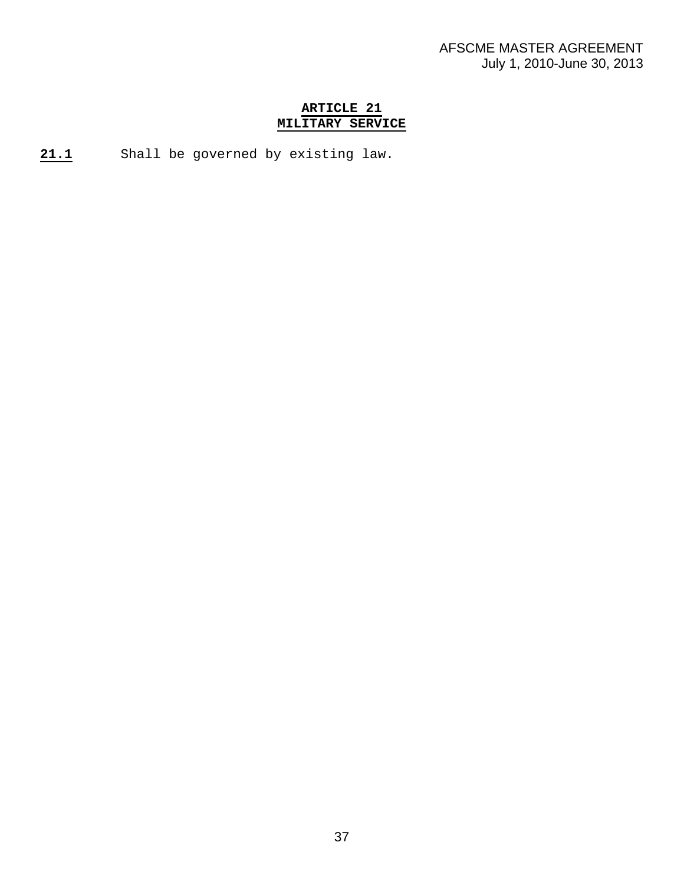# **ARTICLE 21 MILITARY SERVICE**

**21.1** Shall be governed by existing law.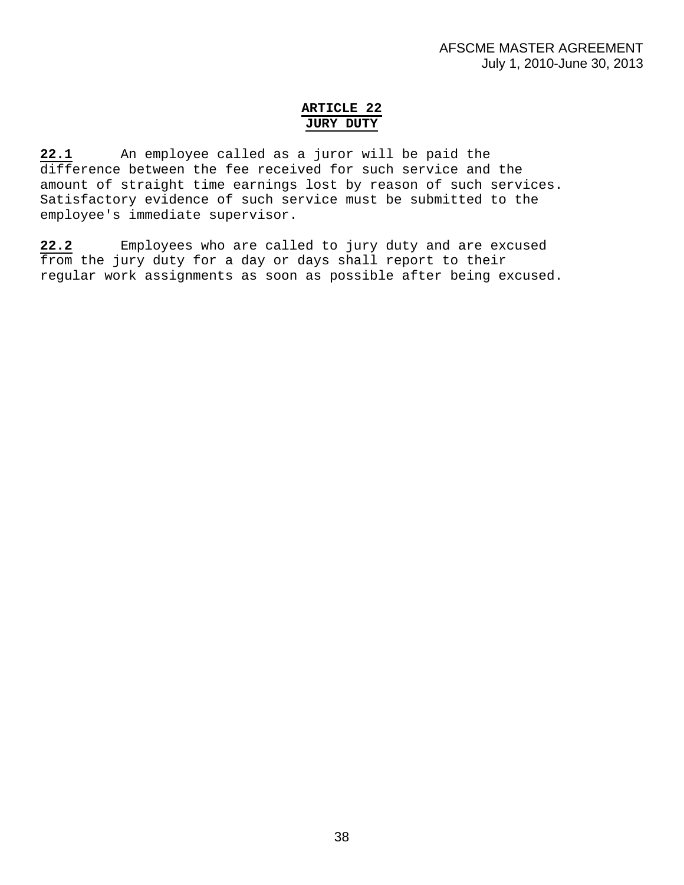# **ARTICLE 22 JURY DUTY**

**22.1** An employee called as a juror will be paid the difference between the fee received for such service and the amount of straight time earnings lost by reason of such services. Satisfactory evidence of such service must be submitted to the employee's immediate supervisor.

**22.2** Employees who are called to jury duty and are excused from the jury duty for a day or days shall report to their regular work assignments as soon as possible after being excused.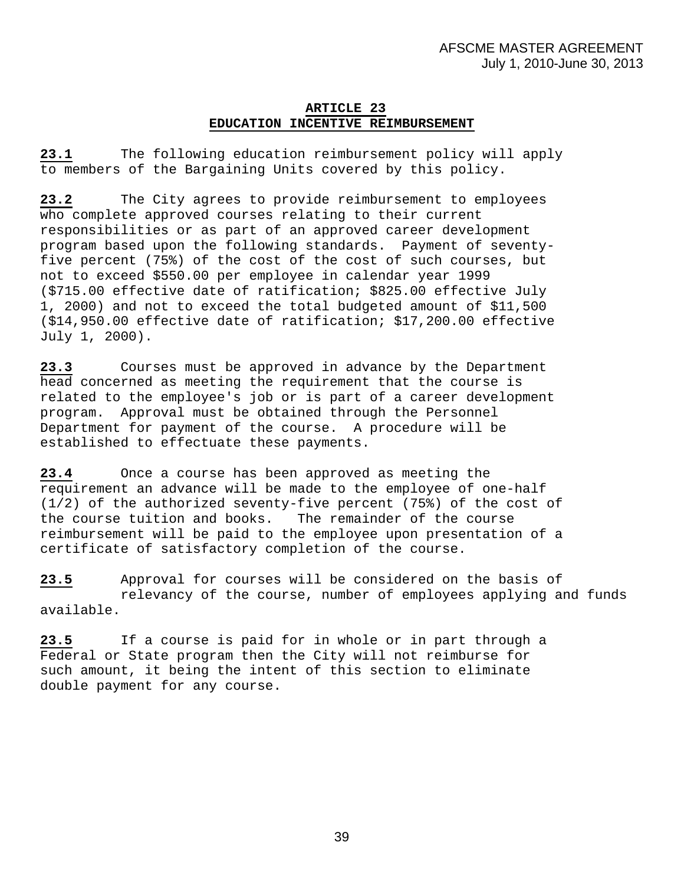# **ARTICLE 23 EDUCATION INCENTIVE REIMBURSEMENT**

**23.1** The following education reimbursement policy will apply to members of the Bargaining Units covered by this policy.

**23.2** The City agrees to provide reimbursement to employees who complete approved courses relating to their current responsibilities or as part of an approved career development program based upon the following standards. Payment of seventyfive percent (75%) of the cost of the cost of such courses, but not to exceed \$550.00 per employee in calendar year 1999 (\$715.00 effective date of ratification; \$825.00 effective July 1, 2000) and not to exceed the total budgeted amount of \$11,500 (\$14,950.00 effective date of ratification; \$17,200.00 effective July 1, 2000).

**23.3** Courses must be approved in advance by the Department head concerned as meeting the requirement that the course is related to the employee's job or is part of a career development program. Approval must be obtained through the Personnel Department for payment of the course. A procedure will be established to effectuate these payments.

**23.4** Once a course has been approved as meeting the requirement an advance will be made to the employee of one-half (1/2) of the authorized seventy-five percent (75%) of the cost of the course tuition and books. The remainder of the course reimbursement will be paid to the employee upon presentation of a certificate of satisfactory completion of the course.

**23.5** Approval for courses will be considered on the basis of relevancy of the course, number of employees applying and funds available.

**23.5** If a course is paid for in whole or in part through a Federal or State program then the City will not reimburse for such amount, it being the intent of this section to eliminate double payment for any course.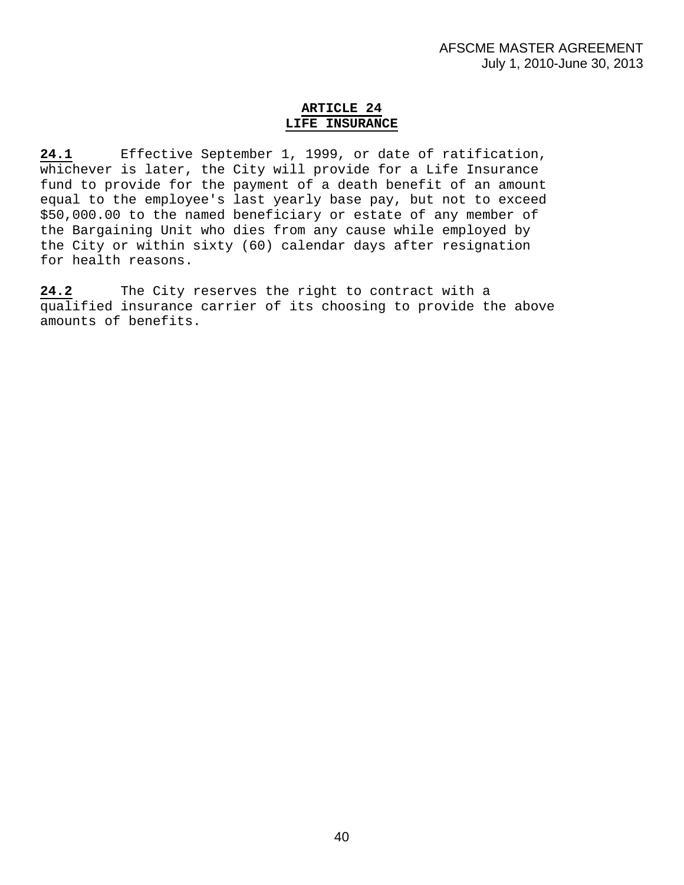# **ARTICLE 24 LIFE INSURANCE**

**24.1** Effective September 1, 1999, or date of ratification, whichever is later, the City will provide for a Life Insurance fund to provide for the payment of a death benefit of an amount equal to the employee's last yearly base pay, but not to exceed \$50,000.00 to the named beneficiary or estate of any member of the Bargaining Unit who dies from any cause while employed by the City or within sixty (60) calendar days after resignation for health reasons.

**24.2** The City reserves the right to contract with a qualified insurance carrier of its choosing to provide the above amounts of benefits.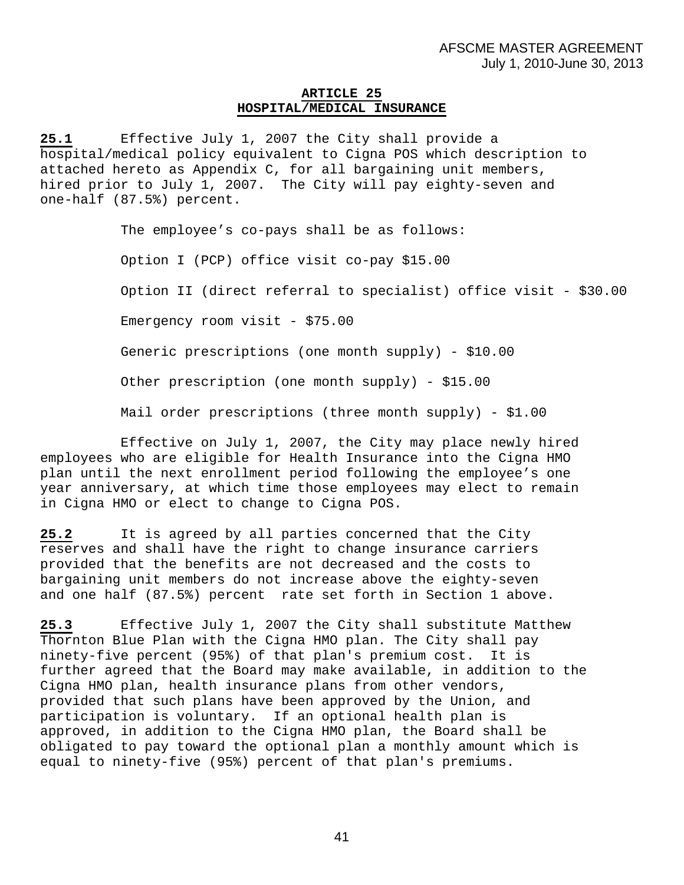# **ARTICLE 25 HOSPITAL/MEDICAL INSURANCE**

**25.1** Effective July 1, 2007 the City shall provide a hospital/medical policy equivalent to Cigna POS which description to attached hereto as Appendix C, for all bargaining unit members, hired prior to July 1, 2007. The City will pay eighty-seven and one-half (87.5%) percent.

The employee's co-pays shall be as follows:

Option I (PCP) office visit co-pay \$15.00

Option II (direct referral to specialist) office visit - \$30.00

Emergency room visit - \$75.00

Generic prescriptions (one month supply) - \$10.00

Other prescription (one month supply) - \$15.00

Mail order prescriptions (three month supply) - \$1.00

Effective on July 1, 2007, the City may place newly hired employees who are eligible for Health Insurance into the Cigna HMO plan until the next enrollment period following the employee's one year anniversary, at which time those employees may elect to remain in Cigna HMO or elect to change to Cigna POS.

**25.2** It is agreed by all parties concerned that the City reserves and shall have the right to change insurance carriers provided that the benefits are not decreased and the costs to bargaining unit members do not increase above the eighty-seven and one half (87.5%) percent rate set forth in Section 1 above.

**25.3** Effective July 1, 2007 the City shall substitute Matthew Thornton Blue Plan with the Cigna HMO plan. The City shall pay ninety-five percent (95%) of that plan's premium cost. It is further agreed that the Board may make available, in addition to the Cigna HMO plan, health insurance plans from other vendors, provided that such plans have been approved by the Union, and participation is voluntary. If an optional health plan is approved, in addition to the Cigna HMO plan, the Board shall be obligated to pay toward the optional plan a monthly amount which is equal to ninety-five (95%) percent of that plan's premiums.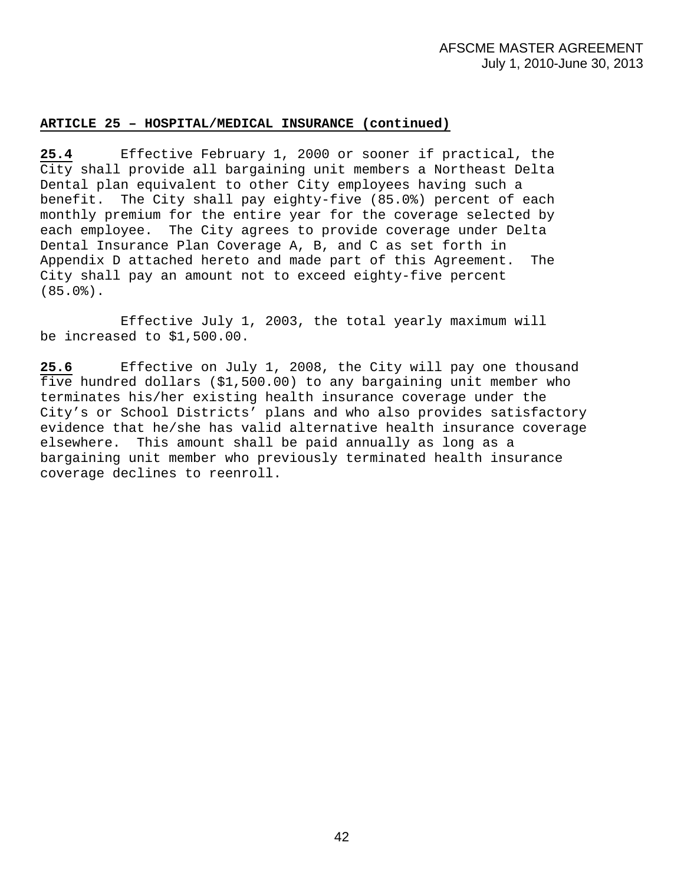# **ARTICLE 25 – HOSPITAL/MEDICAL INSURANCE (continued)**

**25.4** Effective February 1, 2000 or sooner if practical, the City shall provide all bargaining unit members a Northeast Delta Dental plan equivalent to other City employees having such a benefit. The City shall pay eighty-five (85.0%) percent of each monthly premium for the entire year for the coverage selected by each employee. The City agrees to provide coverage under Delta Dental Insurance Plan Coverage A, B, and C as set forth in Appendix D attached hereto and made part of this Agreement. The City shall pay an amount not to exceed eighty-five percent (85.0%).

 Effective July 1, 2003, the total yearly maximum will be increased to \$1,500.00.

**25.6** Effective on July 1, 2008, the City will pay one thousand five hundred dollars (\$1,500.00) to any bargaining unit member who terminates his/her existing health insurance coverage under the City's or School Districts' plans and who also provides satisfactory evidence that he/she has valid alternative health insurance coverage elsewhere. This amount shall be paid annually as long as a bargaining unit member who previously terminated health insurance coverage declines to reenroll.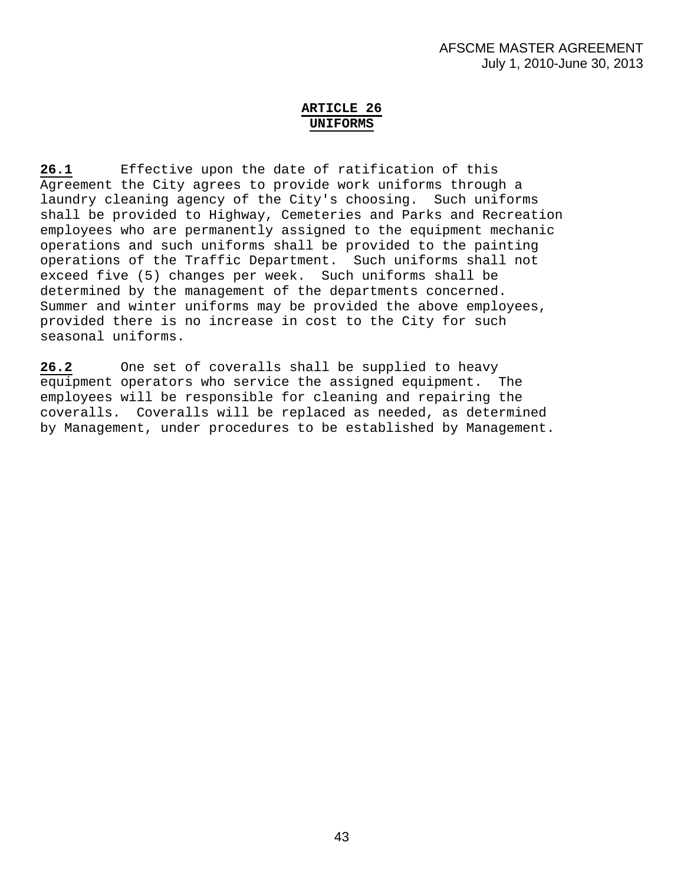# **ARTICLE 26 UNIFORMS**

**26.1** Effective upon the date of ratification of this Agreement the City agrees to provide work uniforms through a laundry cleaning agency of the City's choosing. Such uniforms shall be provided to Highway, Cemeteries and Parks and Recreation employees who are permanently assigned to the equipment mechanic operations and such uniforms shall be provided to the painting operations of the Traffic Department. Such uniforms shall not exceed five (5) changes per week. Such uniforms shall be determined by the management of the departments concerned. Summer and winter uniforms may be provided the above employees, provided there is no increase in cost to the City for such seasonal uniforms.

**26.2** One set of coveralls shall be supplied to heavy equipment operators who service the assigned equipment. The employees will be responsible for cleaning and repairing the coveralls. Coveralls will be replaced as needed, as determined by Management, under procedures to be established by Management.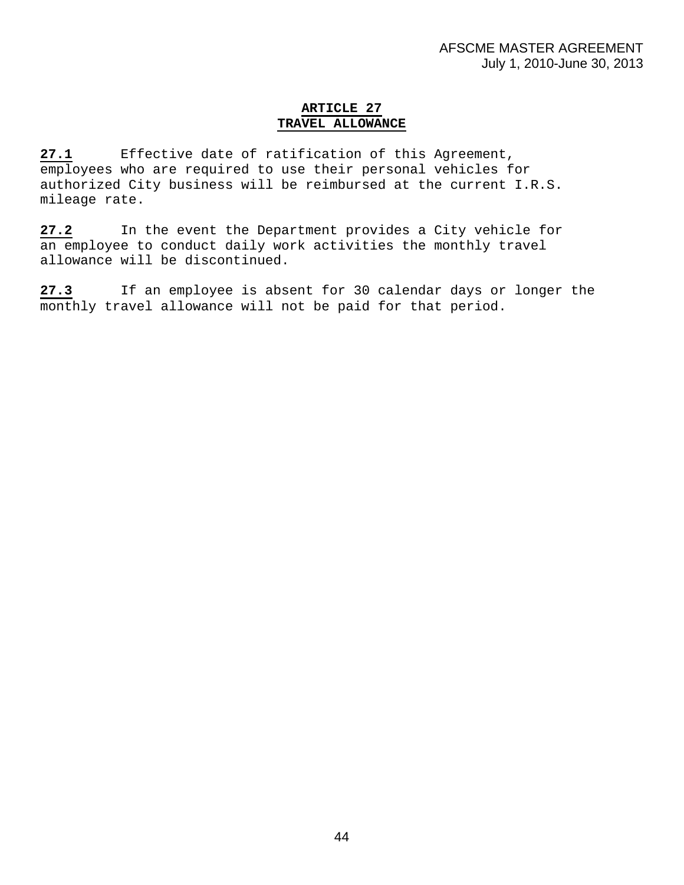# **ARTICLE 27 TRAVEL ALLOWANCE**

**27.1** Effective date of ratification of this Agreement, employees who are required to use their personal vehicles for authorized City business will be reimbursed at the current I.R.S. mileage rate.

**27.2** In the event the Department provides a City vehicle for an employee to conduct daily work activities the monthly travel allowance will be discontinued.

**27.3** If an employee is absent for 30 calendar days or longer the monthly travel allowance will not be paid for that period.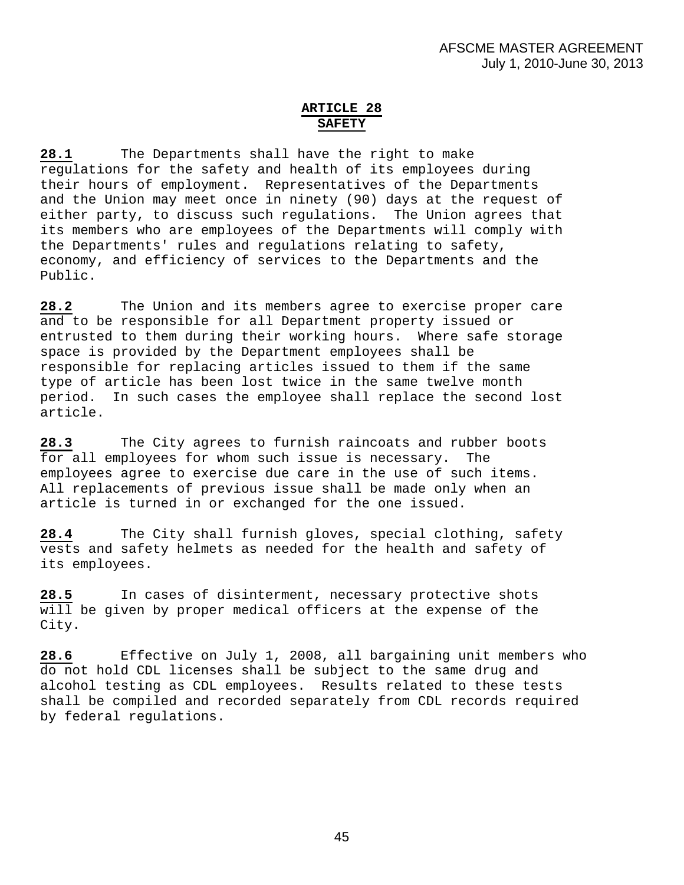# **ARTICLE 28 SAFETY**

**28.1** The Departments shall have the right to make regulations for the safety and health of its employees during their hours of employment. Representatives of the Departments and the Union may meet once in ninety (90) days at the request of either party, to discuss such regulations. The Union agrees that its members who are employees of the Departments will comply with the Departments' rules and regulations relating to safety, economy, and efficiency of services to the Departments and the Public.

**28.2** The Union and its members agree to exercise proper care and to be responsible for all Department property issued or entrusted to them during their working hours. Where safe storage space is provided by the Department employees shall be responsible for replacing articles issued to them if the same type of article has been lost twice in the same twelve month period. In such cases the employee shall replace the second lost article.

**28.3** The City agrees to furnish raincoats and rubber boots for all employees for whom such issue is necessary. The employees agree to exercise due care in the use of such items. All replacements of previous issue shall be made only when an article is turned in or exchanged for the one issued.

**28.4** The City shall furnish gloves, special clothing, safety vests and safety helmets as needed for the health and safety of its employees.

**28.5** In cases of disinterment, necessary protective shots will be given by proper medical officers at the expense of the City.

**28.6** Effective on July 1, 2008, all bargaining unit members who do not hold CDL licenses shall be subject to the same drug and alcohol testing as CDL employees. Results related to these tests shall be compiled and recorded separately from CDL records required by federal regulations.

45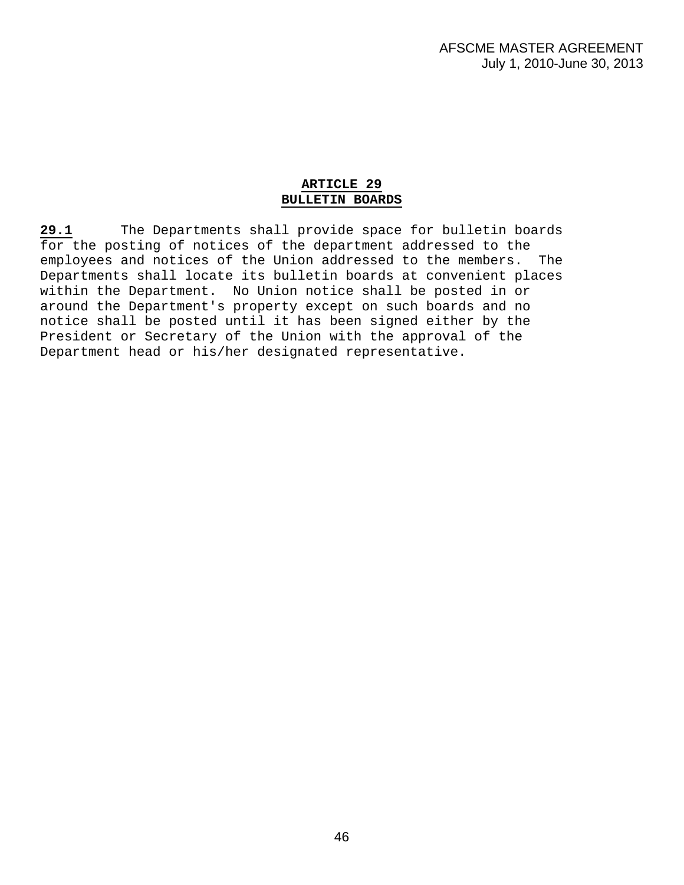# **ARTICLE 29 BULLETIN BOARDS**

**29.1** The Departments shall provide space for bulletin boards for the posting of notices of the department addressed to the employees and notices of the Union addressed to the members. The Departments shall locate its bulletin boards at convenient places within the Department. No Union notice shall be posted in or around the Department's property except on such boards and no notice shall be posted until it has been signed either by the President or Secretary of the Union with the approval of the Department head or his/her designated representative.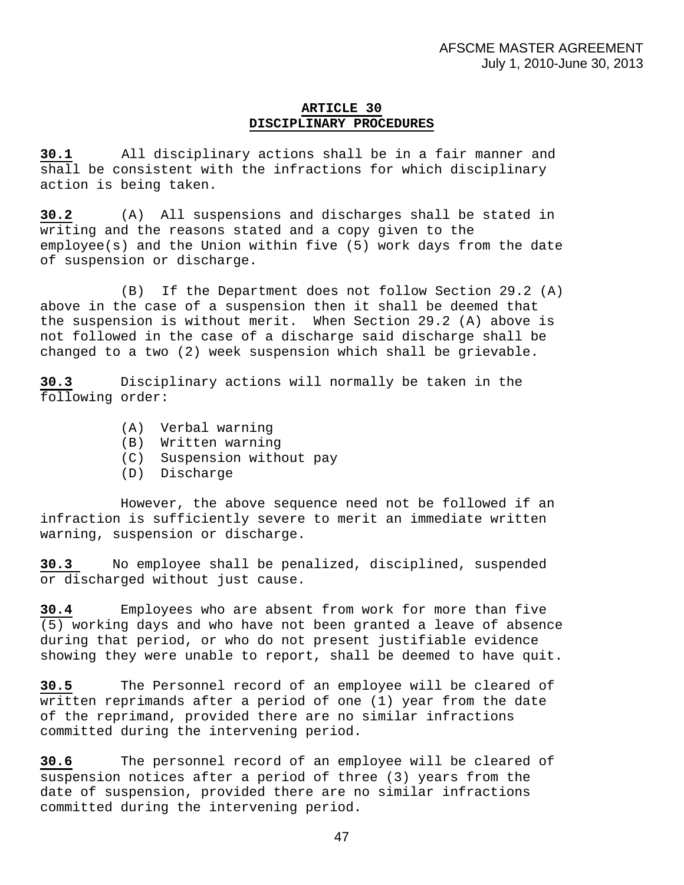# **ARTICLE 30 DISCIPLINARY PROCEDURES**

**30.1** All disciplinary actions shall be in a fair manner and shall be consistent with the infractions for which disciplinary action is being taken.

**30.2** (A) All suspensions and discharges shall be stated in writing and the reasons stated and a copy given to the employee(s) and the Union within five (5) work days from the date of suspension or discharge.

(B) If the Department does not follow Section 29.2 (A) above in the case of a suspension then it shall be deemed that the suspension is without merit. When Section 29.2 (A) above is not followed in the case of a discharge said discharge shall be changed to a two (2) week suspension which shall be grievable.

**30.3** Disciplinary actions will normally be taken in the following order:

- (A) Verbal warning
- (B) Written warning
- (C) Suspension without pay
- (D) Discharge

 However, the above sequence need not be followed if an infraction is sufficiently severe to merit an immediate written warning, suspension or discharge.

**30.3** No employee shall be penalized, disciplined, suspended or discharged without just cause.

**30.4** Employees who are absent from work for more than five (5) working days and who have not been granted a leave of absence during that period, or who do not present justifiable evidence showing they were unable to report, shall be deemed to have quit.

**30.5** The Personnel record of an employee will be cleared of written reprimands after a period of one (1) year from the date of the reprimand, provided there are no similar infractions committed during the intervening period.

**30.6** The personnel record of an employee will be cleared of suspension notices after a period of three (3) years from the date of suspension, provided there are no similar infractions committed during the intervening period.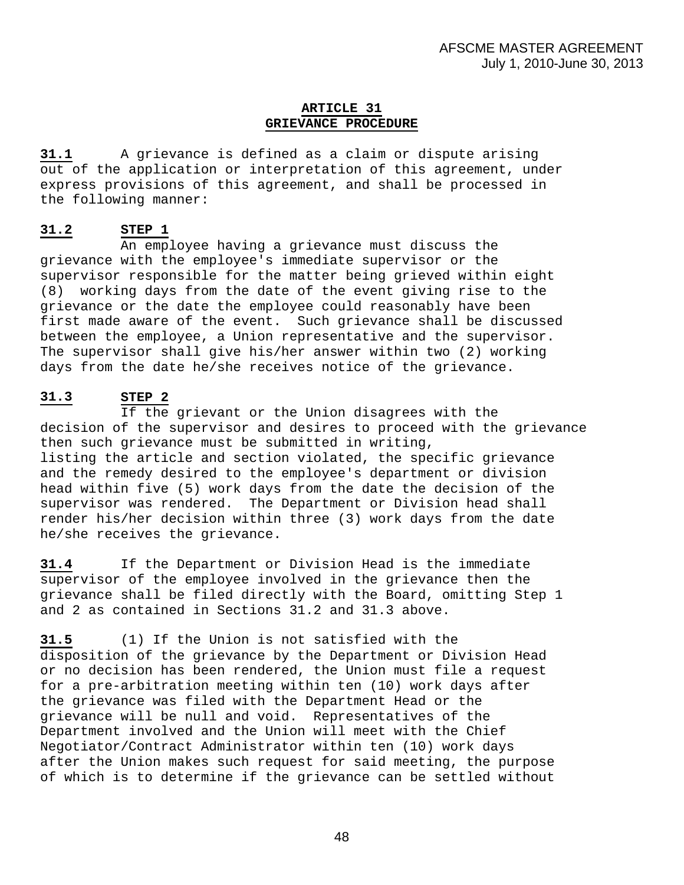# **ARTICLE 31 GRIEVANCE PROCEDURE**

**31.1** A grievance is defined as a claim or dispute arising out of the application or interpretation of this agreement, under express provisions of this agreement, and shall be processed in the following manner:

# **31.2 STEP 1**

 An employee having a grievance must discuss the grievance with the employee's immediate supervisor or the supervisor responsible for the matter being grieved within eight (8) working days from the date of the event giving rise to the grievance or the date the employee could reasonably have been first made aware of the event. Such grievance shall be discussed between the employee, a Union representative and the supervisor. The supervisor shall give his/her answer within two (2) working days from the date he/she receives notice of the grievance.

# **31.3 STEP 2**

 If the grievant or the Union disagrees with the decision of the supervisor and desires to proceed with the grievance then such grievance must be submitted in writing, listing the article and section violated, the specific grievance and the remedy desired to the employee's department or division head within five (5) work days from the date the decision of the supervisor was rendered. The Department or Division head shall render his/her decision within three (3) work days from the date he/she receives the grievance.

**31.4** If the Department or Division Head is the immediate supervisor of the employee involved in the grievance then the grievance shall be filed directly with the Board, omitting Step 1 and 2 as contained in Sections 31.2 and 31.3 above.

**31.5** (1) If the Union is not satisfied with the disposition of the grievance by the Department or Division Head or no decision has been rendered, the Union must file a request for a pre-arbitration meeting within ten (10) work days after the grievance was filed with the Department Head or the grievance will be null and void. Representatives of the Department involved and the Union will meet with the Chief Negotiator/Contract Administrator within ten (10) work days after the Union makes such request for said meeting, the purpose of which is to determine if the grievance can be settled without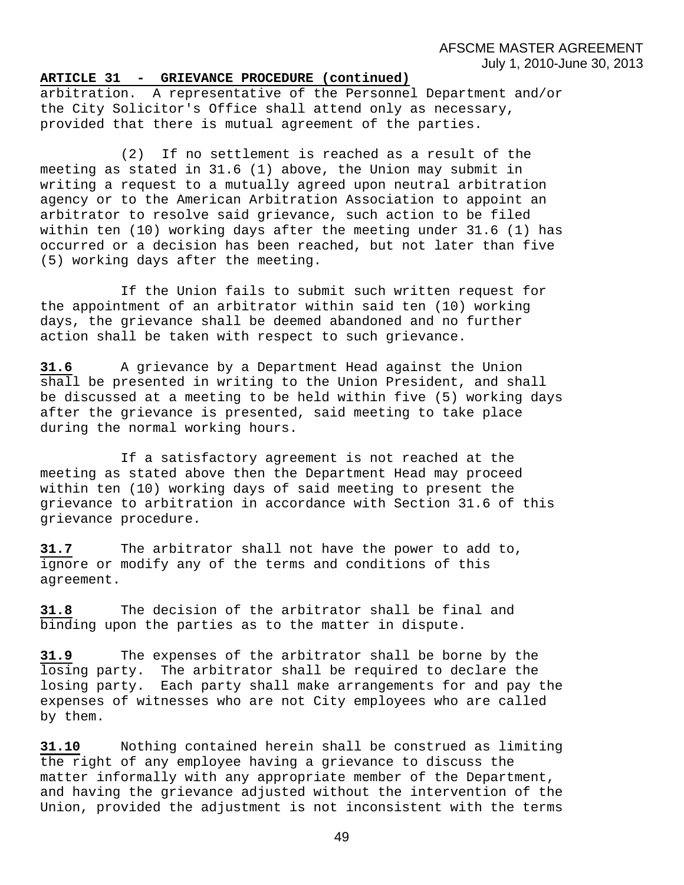AFSCME MASTER AGREEMENT July 1, 2010-June 30, 2013

#### **ARTICLE 31 - GRIEVANCE PROCEDURE (continued)**

arbitration. A representative of the Personnel Department and/or the City Solicitor's Office shall attend only as necessary, provided that there is mutual agreement of the parties.

(2) If no settlement is reached as a result of the meeting as stated in 31.6 (1) above, the Union may submit in writing a request to a mutually agreed upon neutral arbitration agency or to the American Arbitration Association to appoint an arbitrator to resolve said grievance, such action to be filed within ten (10) working days after the meeting under 31.6 (1) has occurred or a decision has been reached, but not later than five (5) working days after the meeting.

 If the Union fails to submit such written request for the appointment of an arbitrator within said ten (10) working days, the grievance shall be deemed abandoned and no further action shall be taken with respect to such grievance.

**31.6** A grievance by a Department Head against the Union shall be presented in writing to the Union President, and shall be discussed at a meeting to be held within five (5) working days after the grievance is presented, said meeting to take place during the normal working hours.

 If a satisfactory agreement is not reached at the meeting as stated above then the Department Head may proceed within ten (10) working days of said meeting to present the grievance to arbitration in accordance with Section 31.6 of this grievance procedure.

**31.7** The arbitrator shall not have the power to add to, ignore or modify any of the terms and conditions of this agreement.

**31.8** The decision of the arbitrator shall be final and binding upon the parties as to the matter in dispute.

**31.9** The expenses of the arbitrator shall be borne by the losing party. The arbitrator shall be required to declare the losing party. Each party shall make arrangements for and pay the expenses of witnesses who are not City employees who are called by them.

**31.10** Nothing contained herein shall be construed as limiting the right of any employee having a grievance to discuss the matter informally with any appropriate member of the Department, and having the grievance adjusted without the intervention of the Union, provided the adjustment is not inconsistent with the terms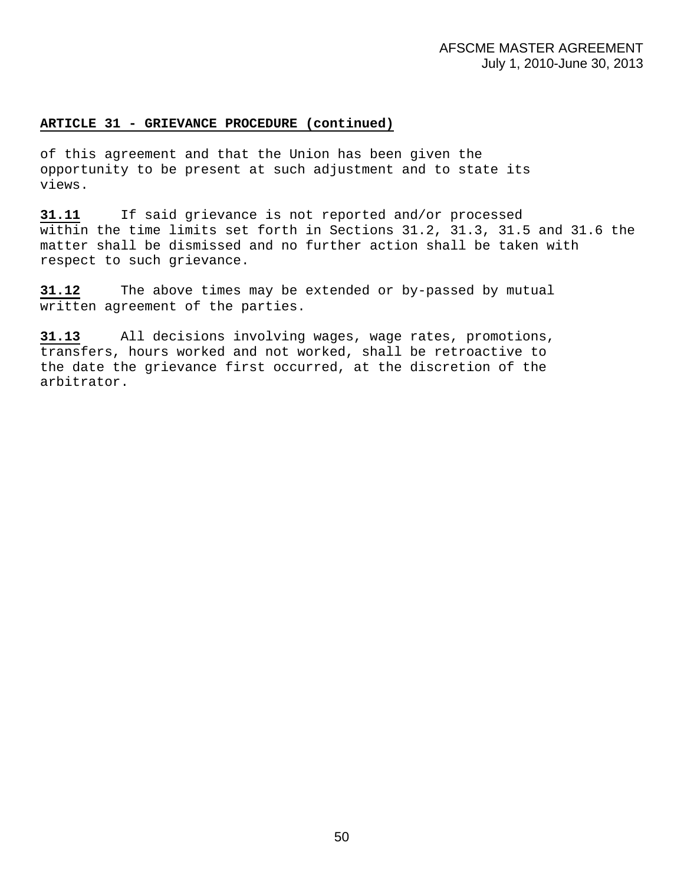#### **ARTICLE 31 - GRIEVANCE PROCEDURE (continued)**

of this agreement and that the Union has been given the opportunity to be present at such adjustment and to state its views.

**31.11** If said grievance is not reported and/or processed within the time limits set forth in Sections 31.2, 31.3, 31.5 and 31.6 the matter shall be dismissed and no further action shall be taken with respect to such grievance.

**31.12** The above times may be extended or by-passed by mutual written agreement of the parties.

**31.13** All decisions involving wages, wage rates, promotions, transfers, hours worked and not worked, shall be retroactive to the date the grievance first occurred, at the discretion of the arbitrator.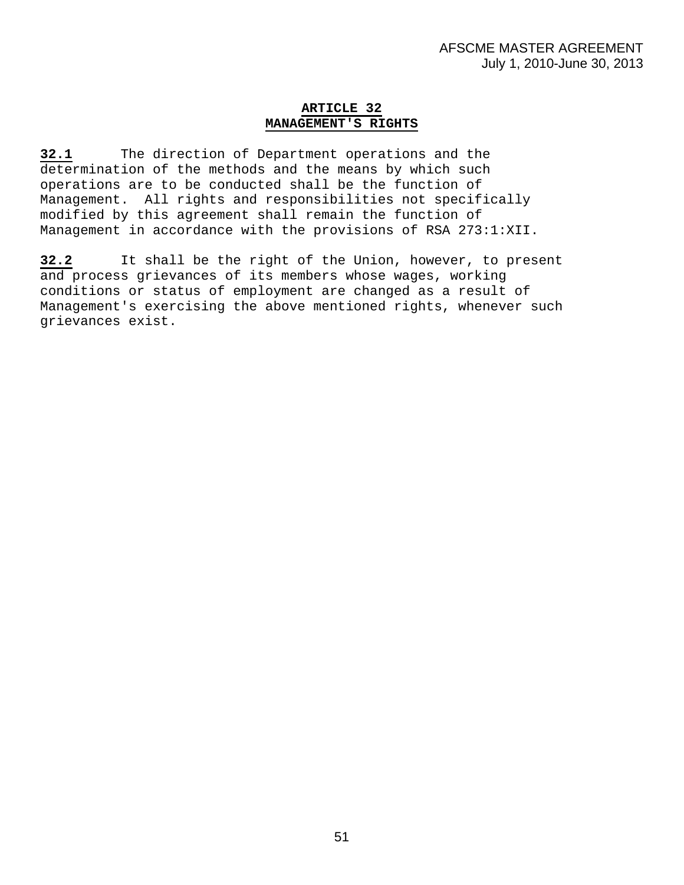# **ARTICLE 32 MANAGEMENT'S RIGHTS**

**32.1** The direction of Department operations and the determination of the methods and the means by which such operations are to be conducted shall be the function of Management. All rights and responsibilities not specifically modified by this agreement shall remain the function of Management in accordance with the provisions of RSA 273:1:XII.

**32.2** It shall be the right of the Union, however, to present and process grievances of its members whose wages, working conditions or status of employment are changed as a result of Management's exercising the above mentioned rights, whenever such grievances exist.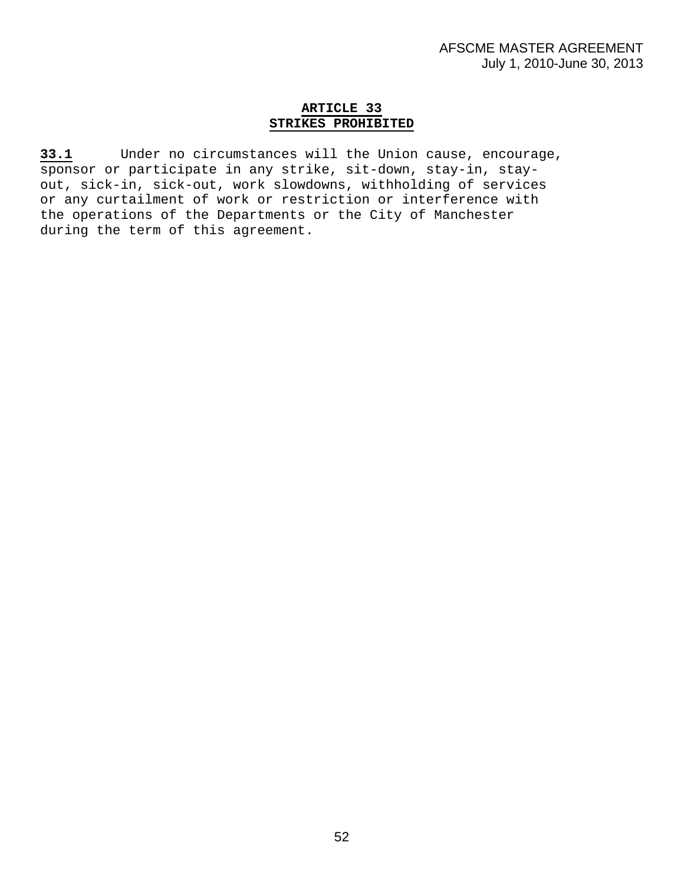# **ARTICLE 33 STRIKES PROHIBITED**

**33.1** Under no circumstances will the Union cause, encourage, sponsor or participate in any strike, sit-down, stay-in, stayout, sick-in, sick-out, work slowdowns, withholding of services or any curtailment of work or restriction or interference with the operations of the Departments or the City of Manchester during the term of this agreement.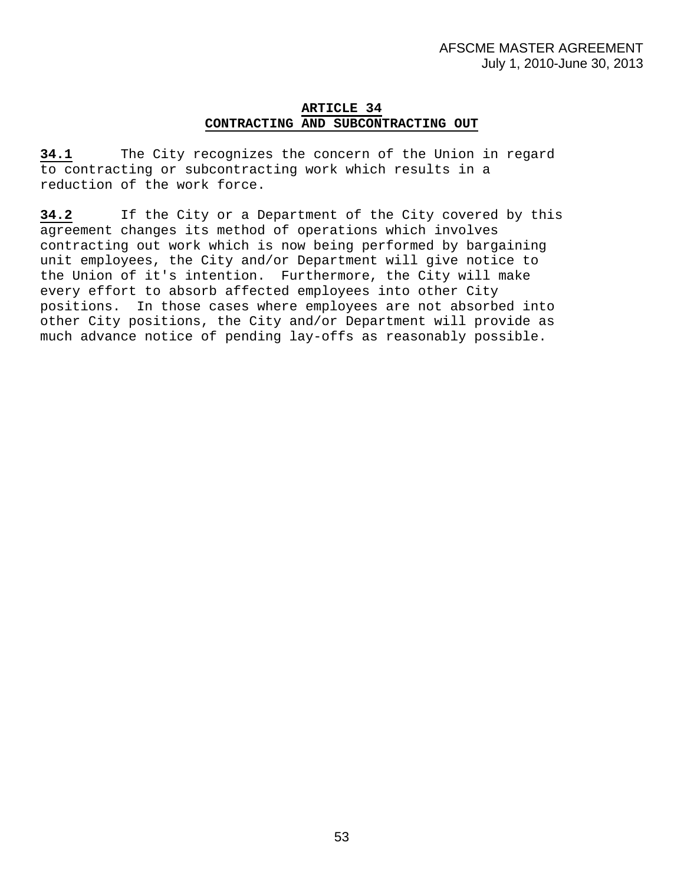# **ARTICLE 34 CONTRACTING AND SUBCONTRACTING OUT**

**34.1** The City recognizes the concern of the Union in regard to contracting or subcontracting work which results in a reduction of the work force.

**34.2** If the City or a Department of the City covered by this agreement changes its method of operations which involves contracting out work which is now being performed by bargaining unit employees, the City and/or Department will give notice to the Union of it's intention. Furthermore, the City will make every effort to absorb affected employees into other City positions. In those cases where employees are not absorbed into other City positions, the City and/or Department will provide as much advance notice of pending lay-offs as reasonably possible.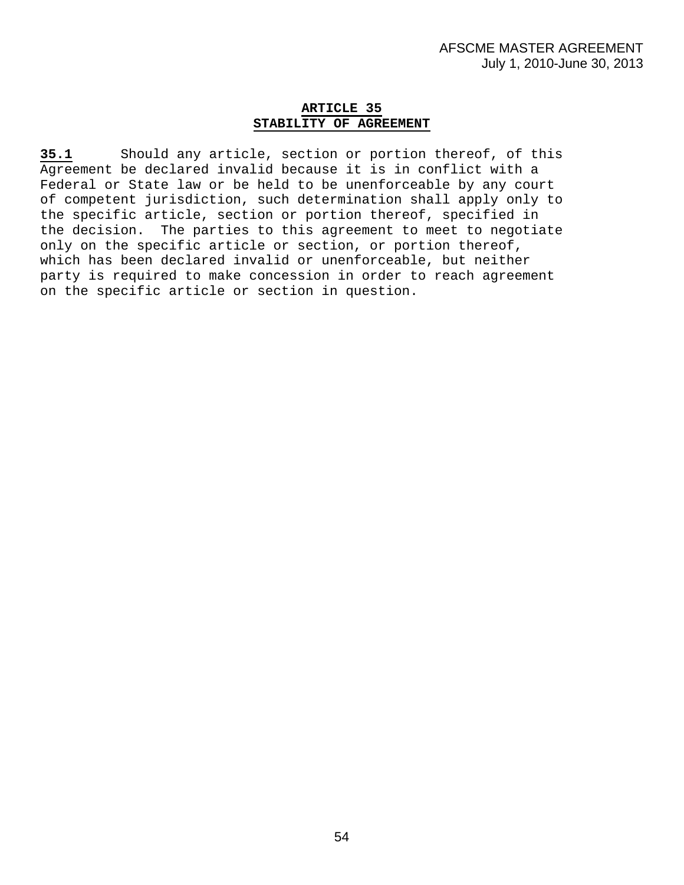# **ARTICLE 35 STABILITY OF AGREEMENT**

**35.1** Should any article, section or portion thereof, of this Agreement be declared invalid because it is in conflict with a Federal or State law or be held to be unenforceable by any court of competent jurisdiction, such determination shall apply only to the specific article, section or portion thereof, specified in the decision. The parties to this agreement to meet to negotiate only on the specific article or section, or portion thereof, which has been declared invalid or unenforceable, but neither party is required to make concession in order to reach agreement on the specific article or section in question.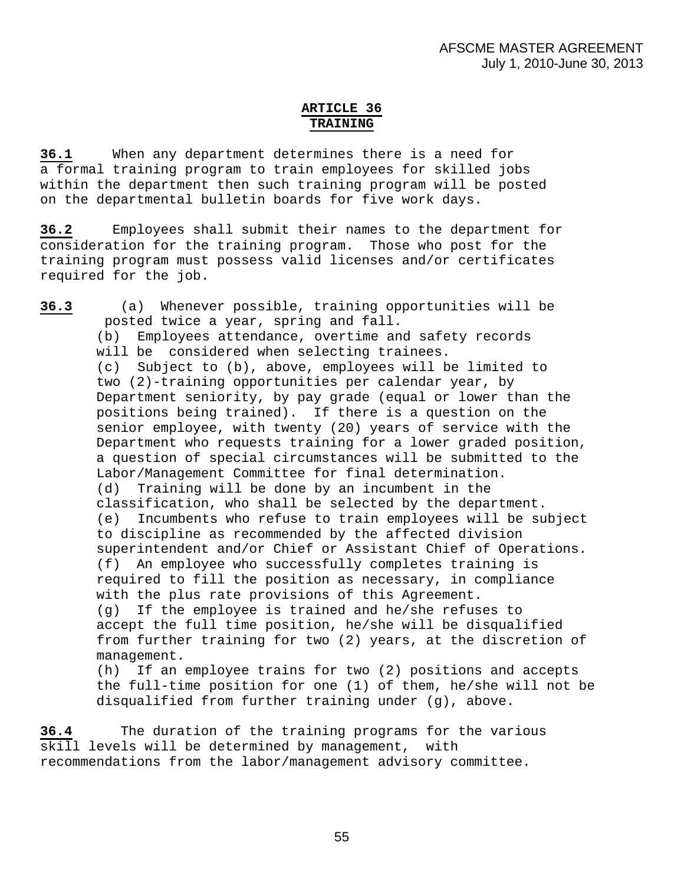# **ARTICLE 36 TRAINING**

**36.1** When any department determines there is a need for a formal training program to train employees for skilled jobs within the department then such training program will be posted on the departmental bulletin boards for five work days.

**36.2** Employees shall submit their names to the department for consideration for the training program. Those who post for the training program must possess valid licenses and/or certificates required for the job.

**36.3** (a) Whenever possible, training opportunities will be posted twice a year, spring and fall. (b) Employees attendance, overtime and safety records will be considered when selecting trainees. (c) Subject to (b), above, employees will be limited to two (2)-training opportunities per calendar year, by Department seniority, by pay grade (equal or lower than the positions being trained). If there is a question on the senior employee, with twenty (20) years of service with the Department who requests training for a lower graded position, a question of special circumstances will be submitted to the Labor/Management Committee for final determination. (d) Training will be done by an incumbent in the classification, who shall be selected by the department. (e) Incumbents who refuse to train employees will be subject to discipline as recommended by the affected division superintendent and/or Chief or Assistant Chief of Operations. (f) An employee who successfully completes training is required to fill the position as necessary, in compliance with the plus rate provisions of this Agreement. (g) If the employee is trained and he/she refuses to accept the full time position, he/she will be disqualified from further training for two (2) years, at the discretion of management. (h) If an employee trains for two (2) positions and accepts the full-time position for one (1) of them, he/she will not be disqualified from further training under (g), above.

**36.4** The duration of the training programs for the various skill levels will be determined by management, with recommendations from the labor/management advisory committee.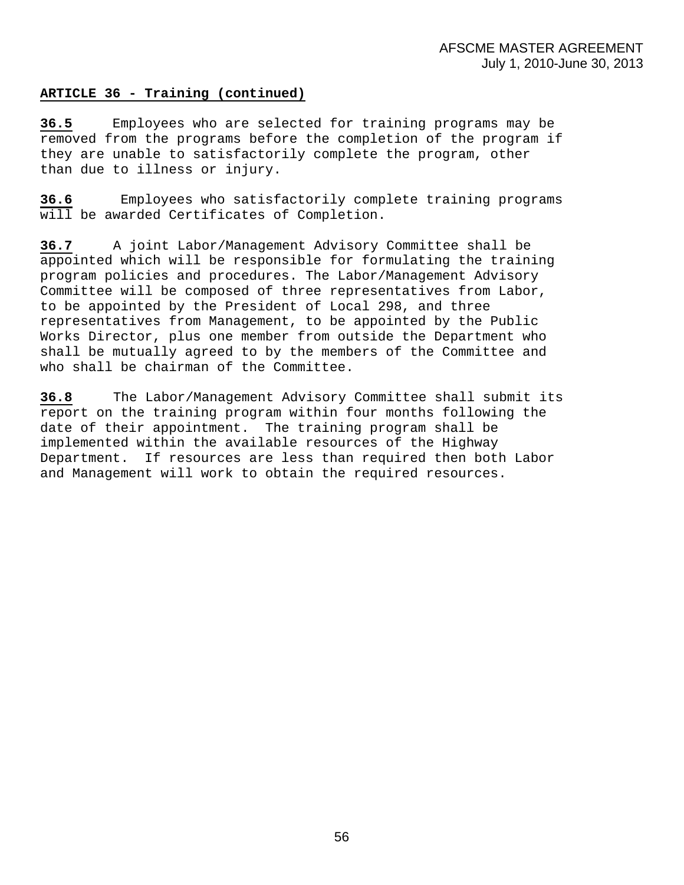# **ARTICLE 36 - Training (continued)**

**36.5** Employees who are selected for training programs may be removed from the programs before the completion of the program if they are unable to satisfactorily complete the program, other than due to illness or injury.

**36.6** Employees who satisfactorily complete training programs will be awarded Certificates of Completion.

**36.7** A joint Labor/Management Advisory Committee shall be appointed which will be responsible for formulating the training program policies and procedures. The Labor/Management Advisory Committee will be composed of three representatives from Labor, to be appointed by the President of Local 298, and three representatives from Management, to be appointed by the Public Works Director, plus one member from outside the Department who shall be mutually agreed to by the members of the Committee and who shall be chairman of the Committee.

**36.8** The Labor/Management Advisory Committee shall submit its report on the training program within four months following the date of their appointment. The training program shall be implemented within the available resources of the Highway Department. If resources are less than required then both Labor and Management will work to obtain the required resources.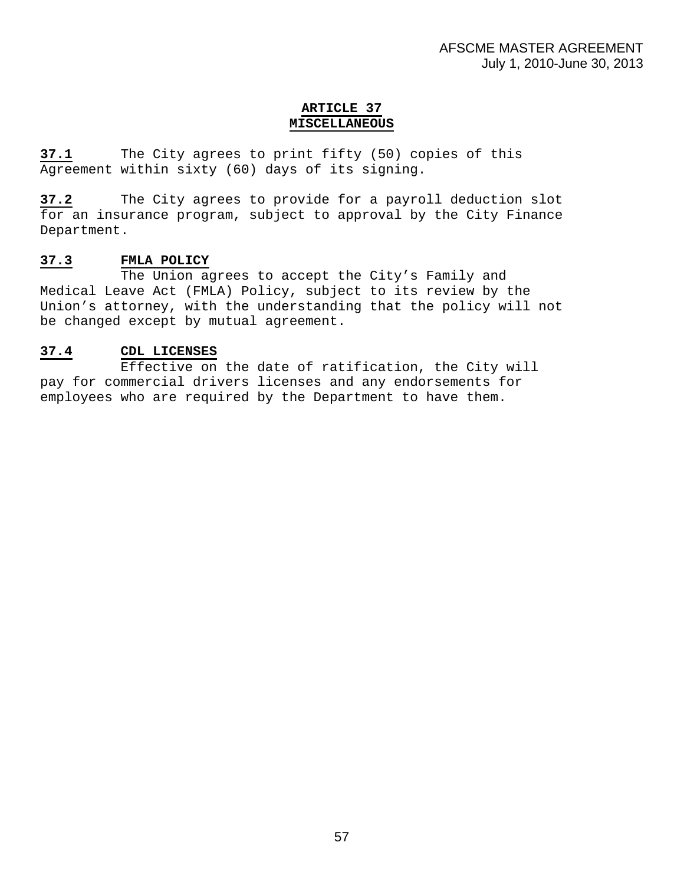# **ARTICLE 37 MISCELLANEOUS**

**37.1** The City agrees to print fifty (50) copies of this Agreement within sixty (60) days of its signing.

**37.2** The City agrees to provide for a payroll deduction slot for an insurance program, subject to approval by the City Finance Department.

# **37.3 FMLA POLICY**

 The Union agrees to accept the City's Family and Medical Leave Act (FMLA) Policy, subject to its review by the Union's attorney, with the understanding that the policy will not be changed except by mutual agreement.

# **37.4 CDL LICENSES**

 Effective on the date of ratification, the City will pay for commercial drivers licenses and any endorsements for employees who are required by the Department to have them.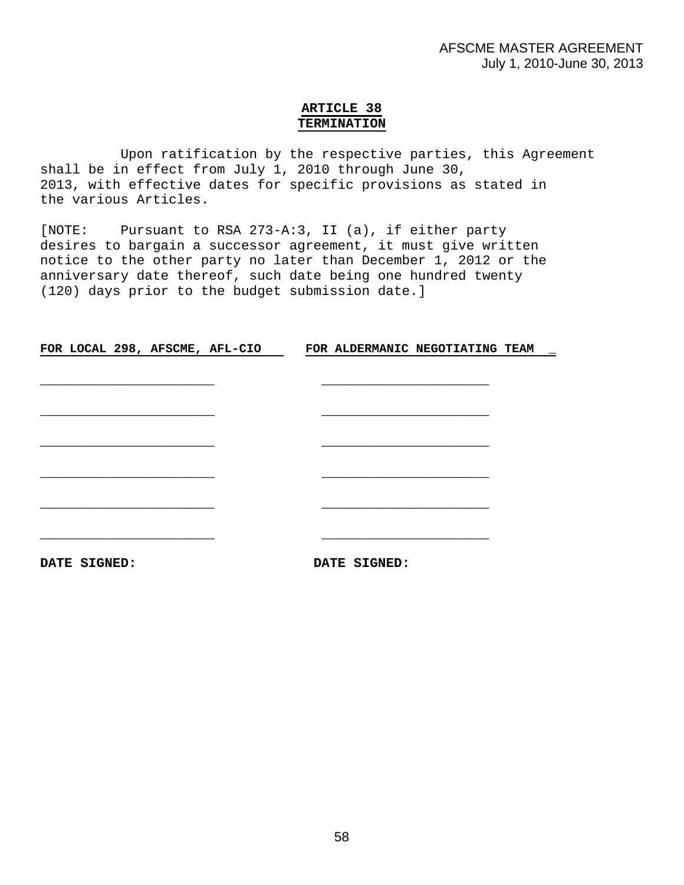# **ARTICLE 38 TERMINATION**

 Upon ratification by the respective parties, this Agreement shall be in effect from July 1, 2010 through June 30, 2013, with effective dates for specific provisions as stated in the various Articles.

[NOTE: Pursuant to RSA 273-A:3, II (a), if either party desires to bargain a successor agreement, it must give written notice to the other party no later than December 1, 2012 or the anniversary date thereof, such date being one hundred twenty (120) days prior to the budget submission date.]

**FOR LOCAL 298, AFSCME, AFL-CIO FOR ALDERMANIC NEGOTIATING TEAM \_**

**DATE SIGNED: DATE SIGNED:**